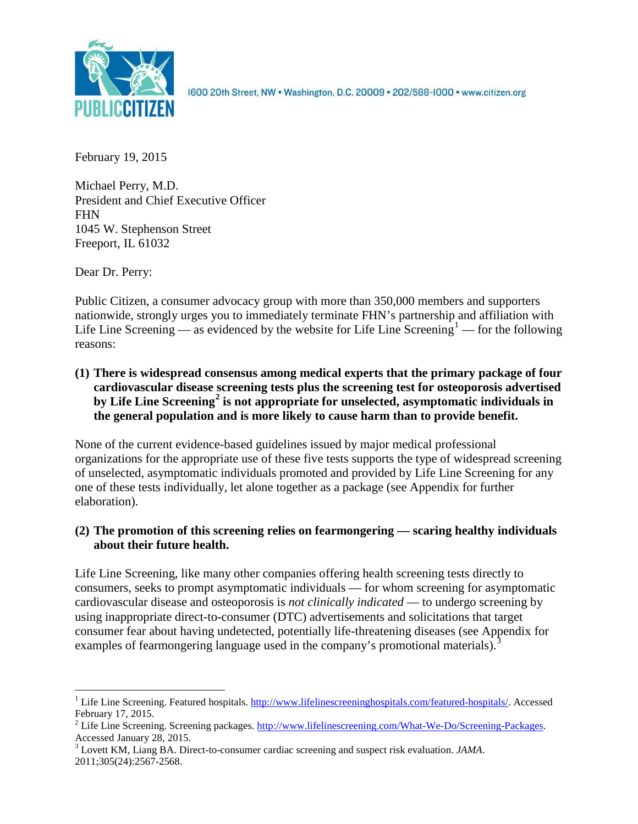

1600 20th Street, NW . Washington, D.C. 20009 . 202/588-1000 . www.citizen.org

February 19, 2015

Michael Perry, M.D. President and Chief Executive Officer FHN 1045 W. Stephenson Street Freeport, IL 61032

Dear Dr. Perry:

Public Citizen, a consumer advocacy group with more than 350,000 members and supporters nationwide, strongly urges you to immediately terminate FHN's partnership and affiliation with Life Line Screening — as evidenced by the website for Life Line Screening<sup>[1](#page-0-0)</sup> — for the following reasons:

**(1) There is widespread consensus among medical experts that the primary package of four cardiovascular disease screening tests plus the screening test for osteoporosis advertised by Life Line Screening[2](#page-0-1) is not appropriate for unselected, asymptomatic individuals in the general population and is more likely to cause harm than to provide benefit.**

None of the current evidence-based guidelines issued by major medical professional organizations for the appropriate use of these five tests supports the type of widespread screening of unselected, asymptomatic individuals promoted and provided by Life Line Screening for any one of these tests individually, let alone together as a package (see Appendix for further elaboration).

# **(2) The promotion of this screening relies on fearmongering — scaring healthy individuals about their future health.**

Life Line Screening, like many other companies offering health screening tests directly to consumers, seeks to prompt asymptomatic individuals — for whom screening for asymptomatic cardiovascular disease and osteoporosis is *not clinically indicated* — to undergo screening by using inappropriate direct-to-consumer (DTC) advertisements and solicitations that target consumer fear about having undetected, potentially life-threatening diseases (see Appendix for examples of fearmongering language used in the company's promotional materials).<sup>[3](#page-0-2)</sup>

<span id="page-0-0"></span><sup>&</sup>lt;sup>1</sup> Life Line Screening. Featured hospitals. [http://www.lifelinescreeninghospitals.com/featured-hospitals/.](http://www.lifelinescreeninghospitals.com/featured-hospitals/) Accessed

<span id="page-0-1"></span>February 17, 2015.<br><sup>2</sup> Life Line Screening. Screening packages. [http://www.lifelinescreening.com/What-We-Do/Screening-Packages.](http://www.lifelinescreening.com/What-We-Do/Screening-Packages)<br>Accessed January 28, 2015.

<span id="page-0-2"></span><sup>&</sup>lt;sup>3</sup> Lovett KM, Liang BA. Direct-to-consumer cardiac screening and suspect risk evaluation. *JAMA*. 2011;305(24):2567-2568.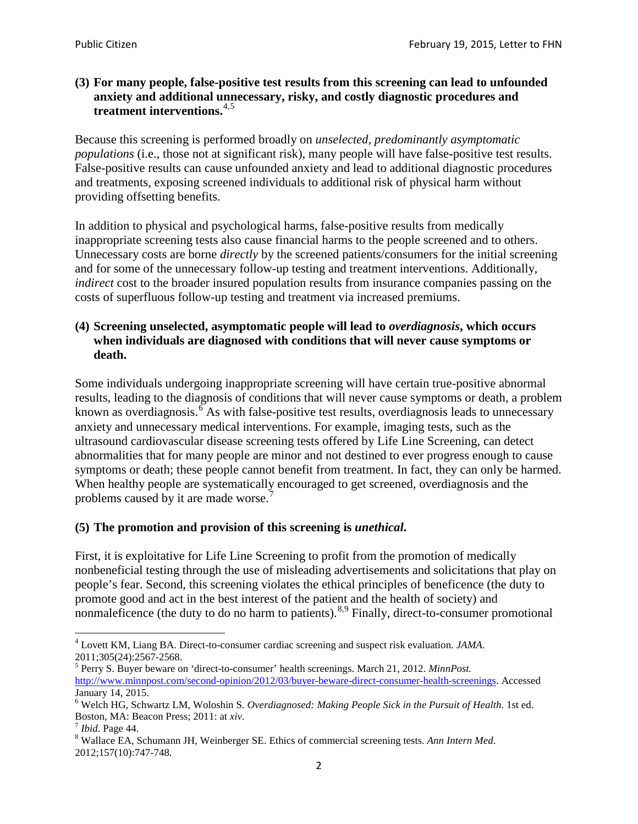## **(3) For many people, false-positive test results from this screening can lead to unfounded anxiety and additional unnecessary, risky, and costly diagnostic procedures and treatment interventions.**[4](#page-1-0),[5](#page-1-1)

Because this screening is performed broadly on *unselected, predominantly asymptomatic populations* (i.e., those not at significant risk), many people will have false**-**positive test results. False-positive results can cause unfounded anxiety and lead to additional diagnostic procedures and treatments, exposing screened individuals to additional risk of physical harm without providing offsetting benefits.

In addition to physical and psychological harms, false-positive results from medically inappropriate screening tests also cause financial harms to the people screened and to others. Unnecessary costs are borne *directly* by the screened patients/consumers for the initial screening and for some of the unnecessary follow-up testing and treatment interventions. Additionally, *indirect* cost to the broader insured population results from insurance companies passing on the costs of superfluous follow-up testing and treatment via increased premiums.

## **(4) Screening unselected, asymptomatic people will lead to** *overdiagnosis***, which occurs when individuals are diagnosed with conditions that will never cause symptoms or death.**

Some individuals undergoing inappropriate screening will have certain true-positive abnormal results, leading to the diagnosis of conditions that will never cause symptoms or death, a problem known as overdiagnosis.<sup>[6](#page-1-2)</sup> As with false-positive test results, overdiagnosis leads to unnecessary anxiety and unnecessary medical interventions. For example, imaging tests, such as the ultrasound cardiovascular disease screening tests offered by Life Line Screening, can detect abnormalities that for many people are minor and not destined to ever progress enough to cause symptoms or death; these people cannot benefit from treatment. In fact, they can only be harmed. When healthy people are systematically encouraged to get screened, overdiagnosis and the problems caused by it are made worse.<sup>[7](#page-1-3)</sup>

# **(5) The promotion and provision of this screening is** *unethical***.**

First, it is exploitative for Life Line Screening to profit from the promotion of medically nonbeneficial testing through the use of misleading advertisements and solicitations that play on people's fear. Second, this screening violates the ethical principles of beneficence (the duty to promote good and act in the best interest of the patient and the health of society) and nonmaleficence (the duty to do no harm to patients).<sup>[8](#page-1-4),[9](#page-1-5)</sup> Finally, direct-to-consumer promotional

<span id="page-1-4"></span>2012;157(10):747-748.

<span id="page-1-5"></span><span id="page-1-0"></span><sup>4</sup> Lovett KM, Liang BA. Direct-to-consumer cardiac screening and suspect risk evaluation. *JAMA*.

<span id="page-1-1"></span><sup>2011;305(24):2567-2568.</sup> <sup>5</sup> Perry S. Buyer beware on 'direct-to-consumer' health screenings. March 21, 2012. *MinnPost.*  [http://www.minnpost.com/second-opinion/2012/03/buyer-beware-direct-consumer-health-screenings.](http://www.minnpost.com/second-opinion/2012/03/buyer-beware-direct-consumer-health-screenings) Accessed January 14, 2015.

<span id="page-1-2"></span><sup>6</sup> Welch HG, Schwartz LM, Woloshin S. *Overdiagnosed: Making People Sick in the Pursuit of Health*. 1st ed. Boston, MA: Beacon Press; 2011: at *xiv*.<br><sup>7</sup> *Ibid*. Page 44.<br><sup>8</sup> Wallace EA, Schumann JH, Weinberger SE. Ethics of commercial screening tests. *Ann Intern Med*.

<span id="page-1-3"></span>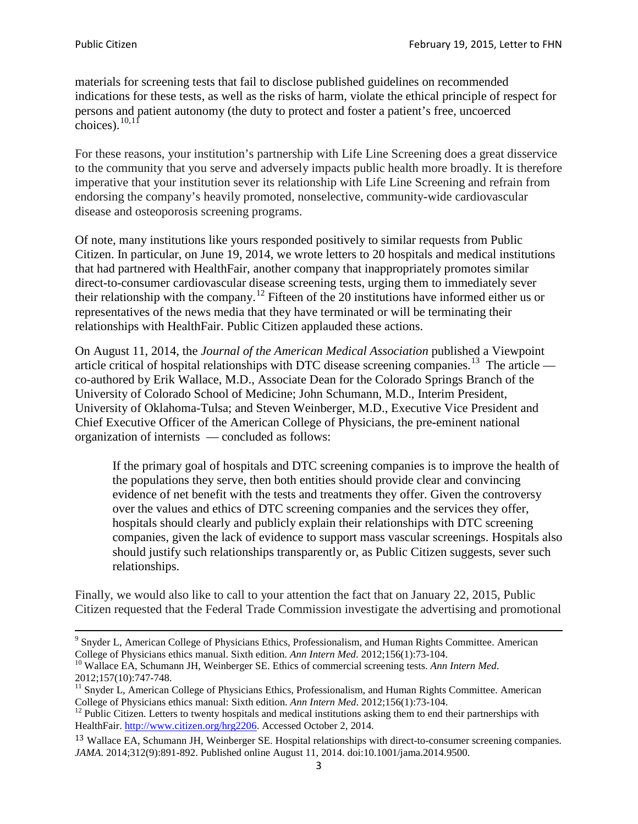materials for screening tests that fail to disclose published guidelines on recommended indications for these tests, as well as the risks of harm, violate the ethical principle of respect for persons and patient autonomy (the duty to protect and foster a patient's free, uncoerced choices). $\frac{10,11}{10,11}$  $\frac{10,11}{10,11}$  $\frac{10,11}{10,11}$  $\frac{10,11}{10,11}$ 

For these reasons, your institution's partnership with Life Line Screening does a great disservice to the community that you serve and adversely impacts public health more broadly. It is therefore imperative that your institution sever its relationship with Life Line Screening and refrain from endorsing the company's heavily promoted, nonselective, community**-**wide cardiovascular disease and osteoporosis screening programs.

Of note, many institutions like yours responded positively to similar requests from Public Citizen. In particular, on June 19, 2014, we wrote letters to 20 hospitals and medical institutions that had partnered with HealthFair, another company that inappropriately promotes similar direct-to-consumer cardiovascular disease screening tests, urging them to immediately sever their relationship with the company. [12](#page-2-2) Fifteen of the 20 institutions have informed either us or representatives of the news media that they have terminated or will be terminating their relationships with HealthFair. Public Citizen applauded these actions.

On August 11, 2014, the *Journal of the American Medical Association* published a Viewpoint article critical of hospital relationships with DTC disease screening companies.<sup>13</sup> The article co-authored by Erik Wallace, M.D., Associate Dean for the Colorado Springs Branch of the University of Colorado School of Medicine; John Schumann, M.D., Interim President, University of Oklahoma-Tulsa; and Steven Weinberger, M.D., Executive Vice President and Chief Executive Officer of the American College of Physicians, the pre**-**eminent national organization of internists — concluded as follows:

If the primary goal of hospitals and DTC screening companies is to improve the health of the populations they serve, then both entities should provide clear and convincing evidence of net benefit with the tests and treatments they offer. Given the controversy over the values and ethics of DTC screening companies and the services they offer, hospitals should clearly and publicly explain their relationships with DTC screening companies, given the lack of evidence to support mass vascular screenings. Hospitals also should justify such relationships transparently or, as Public Citizen suggests, sever such relationships.

Finally, we would also like to call to your attention the fact that on January 22, 2015, Public Citizen requested that the Federal Trade Commission investigate the advertising and promotional

<sup>&</sup>lt;sup>9</sup> Snyder L, American College of Physicians Ethics, Professionalism, and Human Rights Committee. American College of Physicians ethics manual. Sixth edition. Ann Intern Med. 2012;156(1):73-104.

<span id="page-2-0"></span><sup>&</sup>lt;sup>10</sup> Wallace EA, Schumann JH, Weinberger SE. Ethics of commercial screening tests. *Ann Intern Med*. 2012;157(10):747-748.

<span id="page-2-1"></span> $11$  Snyder L, American College of Physicians Ethics, Professionalism, and Human Rights Committee. American College of Physicians ethics manual: Sixth edition. *Ann Intern Med*. 2012;156(1):73-104.<br><sup>12</sup> Public Citizen. Letters to twenty hospitals and medical institutions asking them to end their partnerships with

<span id="page-2-2"></span>HealthFair. [http://www.citizen.org/hrg2206.](http://www.citizen.org/hrg2206) Accessed October 2, 2014.

<span id="page-2-3"></span><sup>13</sup> Wallace EA, Schumann JH, Weinberger SE. Hospital relationships with direct-to-consumer screening companies. *JAMA*. 2014;312(9):891-892. Published online August 11, 2014. doi:10.1001/jama.2014.9500.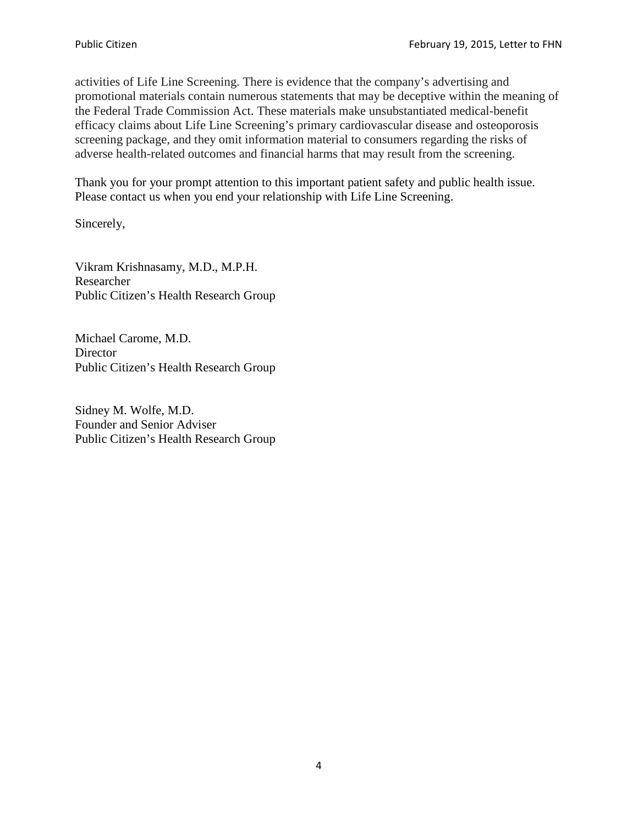activities of Life Line Screening. There is evidence that the company's advertising and promotional materials contain numerous statements that may be deceptive within the meaning of the Federal Trade Commission Act. These materials make unsubstantiated medical-benefit efficacy claims about Life Line Screening's primary cardiovascular disease and osteoporosis screening package, and they omit information material to consumers regarding the risks of adverse health-related outcomes and financial harms that may result from the screening.

Thank you for your prompt attention to this important patient safety and public health issue. Please contact us when you end your relationship with Life Line Screening.

Sincerely,

Vikram Krishnasamy, M.D., M.P.H. Researcher Public Citizen's Health Research Group

Michael Carome, M.D. **Director** Public Citizen's Health Research Group

Sidney M. Wolfe, M.D. Founder and Senior Adviser Public Citizen's Health Research Group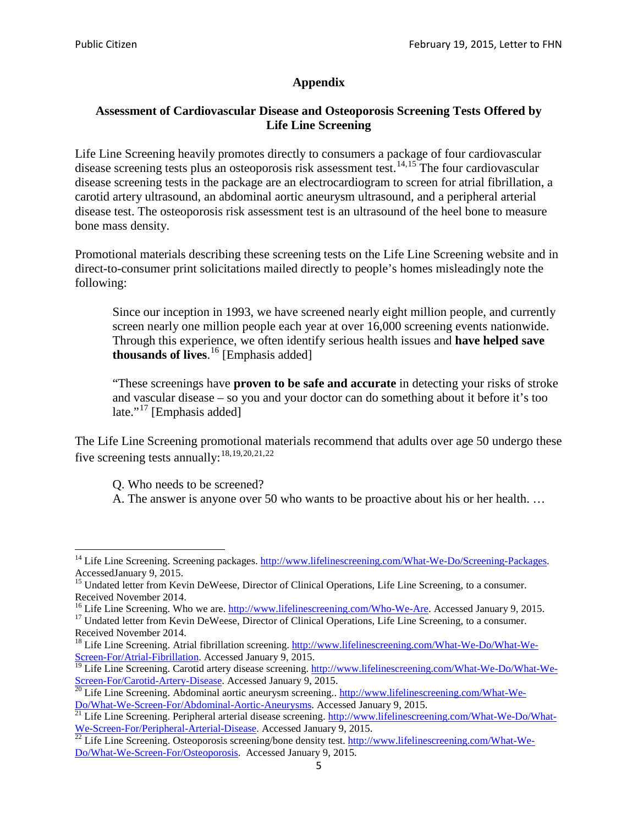## **Appendix**

## **Assessment of Cardiovascular Disease and Osteoporosis Screening Tests Offered by Life Line Screening**

Life Line Screening heavily promotes directly to consumers a package of four cardiovascular disease screening tests plus an osteoporosis risk assessment test.<sup>[14](#page-4-0),[15](#page-4-1)</sup> The four cardiovascular disease screening tests in the package are an electrocardiogram to screen for atrial fibrillation, a carotid artery ultrasound, an abdominal aortic aneurysm ultrasound, and a peripheral arterial disease test. The osteoporosis risk assessment test is an ultrasound of the heel bone to measure bone mass density.

Promotional materials describing these screening tests on the Life Line Screening website and in direct-to-consumer print solicitations mailed directly to people's homes misleadingly note the following:

Since our inception in 1993, we have screened nearly eight million people, and currently screen nearly one million people each year at over 16,000 screening events nationwide. Through this experience, we often identify serious health issues and **have helped save thousands of lives**. [16](#page-4-2) [Emphasis added]

"These screenings have **proven to be safe and accurate** in detecting your risks of stroke and vascular disease – so you and your doctor can do something about it before it's too late."<sup>[17](#page-4-3)</sup> [Emphasis added]

The Life Line Screening promotional materials recommend that adults over age 50 undergo these five screening tests annually:<sup>[18](#page-4-4),[19,](#page-4-5)[20,](#page-4-6)[21](#page-4-7),[22](#page-4-8)</sup>

Q. Who needs to be screened?

A. The answer is anyone over 50 who wants to be proactive about his or her health. …

<span id="page-4-0"></span><sup>&</sup>lt;sup>14</sup> Life Line Screening. Screening packages. [http://www.lifelinescreening.com/What-We-Do/Screening-Packages.](http://www.lifelinescreening.com/What-We-Do/Screening-Packages) AccessedJanuary 9, 2015.

<span id="page-4-1"></span><sup>&</sup>lt;sup>15</sup> Undated letter from Kevin DeWeese, Director of Clinical Operations, Life Line Screening, to a consumer.

Received November 2014.<br><sup>16</sup> Life Line Screening. Who we are. http://www.lifelinescreening.com/Who-We-Are. Accessed January 9, 2015.

<span id="page-4-3"></span><span id="page-4-2"></span><sup>&</sup>lt;sup>17</sup> Undated letter from Kevin DeWeese, Director of Clinical Operations, Life Line Screening, to a consumer. Received November 2014.

<span id="page-4-4"></span><sup>&</sup>lt;sup>18</sup> Life Line Screening. Atrial fibrillation screening. [http://www.lifelinescreening.com/What-We-Do/What-We-](http://www.lifelinescreening.com/What-We-Do/What-We-Screen-For/Atrial-Fibrillation)[Screen-For/Atrial-Fibrillation.](http://www.lifelinescreening.com/What-We-Do/What-We-Screen-For/Atrial-Fibrillation) Accessed January 9, 2015.

<sup>&</sup>lt;sup>19</sup> Life Line Screening. Carotid artery disease screening. [http://www.lifelinescreening.com/What-We-Do/What-We-](http://www.lifelinescreening.com/What-We-Do/What-We-Screen-For/Carotid-Artery-Disease)

<span id="page-4-6"></span><span id="page-4-5"></span>[Screen-For/Carotid-Artery-Disease.](http://www.lifelinescreening.com/What-We-Do/What-We-Screen-For/Carotid-Artery-Disease) Accessed January 9, 2015.<br><sup>20</sup> Life Line Screening. Abdominal aortic aneurysm screening.. http://www.lifelinescreening.com/What-We-Do/What-We-Do/What-We-Screen-For/Abdominal-Aortic-Aneury

<span id="page-4-7"></span><sup>&</sup>lt;sup>21</sup> Life Line Screening. Peripheral arterial disease screening. [http://www.lifelinescreening.com/What-We-Do/What-](http://www.lifelinescreening.com/What-We-Do/What-We-Screen-For/Peripheral-Arterial-Disease)

<span id="page-4-8"></span>[We-Screen-For/Peripheral-Arterial-Disease.](http://www.lifelinescreening.com/What-We-Do/What-We-Screen-For/Peripheral-Arterial-Disease) Accessed January 9, 2015.<br><sup>22</sup> Life Line Screening. Osteoporosis screening/bone density test. [http://www.lifelinescreening.com/What-We-](http://www.lifelinescreening.com/What-We-Do/What-We-Screen-For/Osteoporosis)[Do/What-We-Screen-For/Osteoporosis.](http://www.lifelinescreening.com/What-We-Do/What-We-Screen-For/Osteoporosis) Accessed January 9, 2015.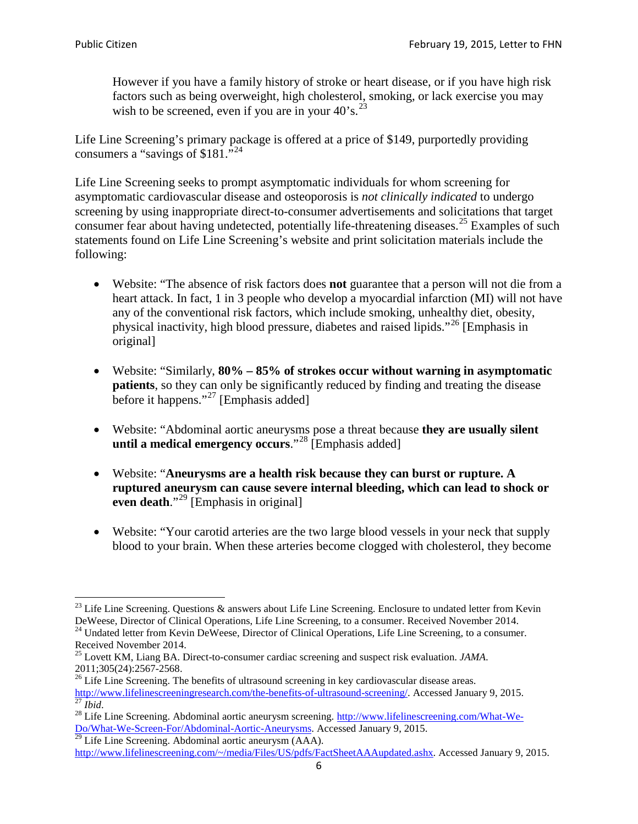However if you have a family history of stroke or heart disease, or if you have high risk factors such as being overweight, high cholesterol, smoking, or lack exercise you may wish to be screened, even if you are in your  $40^\circ$ s.<sup>[23](#page-5-0)</sup>

Life Line Screening's primary package is offered at a price of \$149, purportedly providing consumers a "savings of \$181."<sup>[24](#page-5-1)</sup>

Life Line Screening seeks to prompt asymptomatic individuals for whom screening for asymptomatic cardiovascular disease and osteoporosis is *not clinically indicated* to undergo screening by using inappropriate direct-to-consumer advertisements and solicitations that target consumer fear about having undetected, potentially life-threatening diseases.<sup>[25](#page-5-2)</sup> Examples of such statements found on Life Line Screening's website and print solicitation materials include the following:

- Website: "The absence of risk factors does **not** guarantee that a person will not die from a heart attack. In fact, 1 in 3 people who develop a myocardial infarction (MI) will not have any of the conventional risk factors, which include smoking, unhealthy diet, obesity, physical inactivity, high blood pressure, diabetes and raised lipids."[26](#page-5-3) [Emphasis in original]
- Website: "Similarly, **80% – 85% of strokes occur without warning in asymptomatic patients**, so they can only be significantly reduced by finding and treating the disease before it happens."<sup>[27](#page-5-4)</sup> [Emphasis added]
- Website: "Abdominal aortic aneurysms pose a threat because **they are usually silent until a medical emergency occurs**."[28](#page-5-5) [Emphasis added]
- Website: "**Aneurysms are a health risk because they can burst or rupture. A ruptured aneurysm can cause severe internal bleeding, which can lead to shock or even death.**"<sup>[29](#page-5-6)</sup> [Emphasis in original]
- Website: "Your carotid arteries are the two large blood vessels in your neck that supply blood to your brain. When these arteries become clogged with cholesterol, they become

<span id="page-5-0"></span><sup>&</sup>lt;sup>23</sup> Life Line Screening. Questions  $\&$  answers about Life Line Screening. Enclosure to undated letter from Kevin DeWeese, Director of Clinical Operations, Life Line Screening, to a consumer. Received November 2014.

<span id="page-5-1"></span><sup>&</sup>lt;sup>24</sup> Undated letter from Kevin DeWeese, Director of Clinical Operations, Life Line Screening, to a consumer. Received November 2014.

<span id="page-5-2"></span><sup>25</sup> Lovett KM, Liang BA. Direct-to-consumer cardiac screening and suspect risk evaluation. *JAMA*.  $2011;305(24):2567-2568$ .<br><sup>26</sup> Life Line Screening. The benefits of ultrasound screening in key cardiovascular disease areas.

<span id="page-5-3"></span>[http://www.lifelinescreeningresearch.com/the-benefits-of-ultrasound-screening/.](http://www.lifelinescreeningresearch.com/the-benefits-of-ultrasound-screening/) Accessed January 9, 2015.<br><sup>28</sup> Life Line Screening. Abdominal aortic aneurysm screening. http://www.lifelinescreening.com/What-We-<br><sup>28</sup> Life L

<span id="page-5-5"></span><span id="page-5-4"></span>[Do/What-We-Screen-For/Abdominal-Aortic-Aneurysms.](http://www.lifelinescreening.com/What-We-Do/What-We-Screen-For/Abdominal-Aortic-Aneurysms) Accessed January 9, 2015. <sup>29</sup> Life Line Screening. Abdominal aortic aneurysm (AAA).

<span id="page-5-6"></span>[http://www.lifelinescreening.com/~/media/Files/US/pdfs/FactSheetAAAupdated.ashx.](http://www.lifelinescreening.com/~/media/Files/US/pdfs/FactSheetAAAupdated.ashx) Accessed January 9, 2015.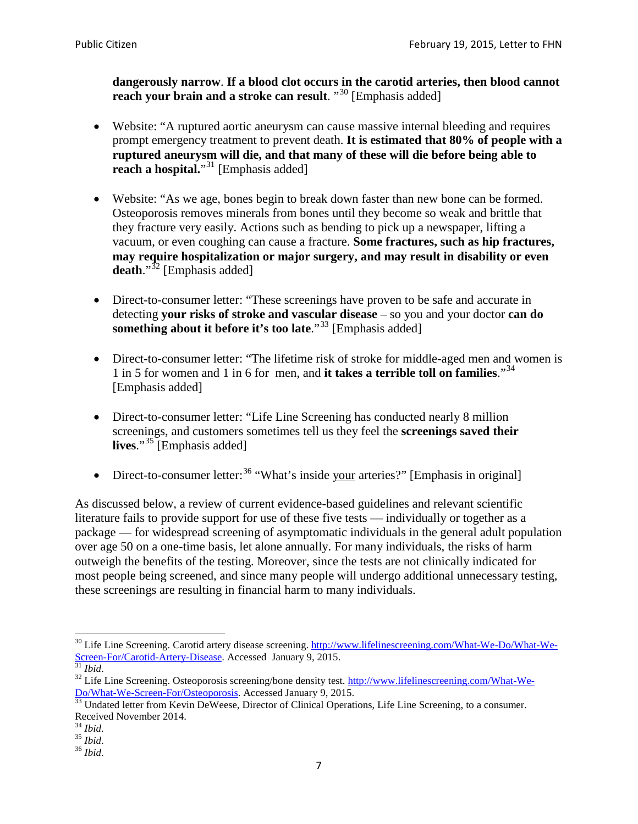**dangerously narrow**. **If a blood clot occurs in the carotid arteries, then blood cannot reach your brain and a stroke can result**. "<sup>[30](#page-6-0)</sup> [Emphasis added]

- Website: "A ruptured aortic aneurysm can cause massive internal bleeding and requires prompt emergency treatment to prevent death. **It is estimated that 80% of people with a ruptured aneurysm will die, and that many of these will die before being able to reach a hospital.**"<sup>[31](#page-6-1)</sup> [Emphasis added]
- Website: "As we age, bones begin to break down faster than new bone can be formed. Osteoporosis removes minerals from bones until they become so weak and brittle that they fracture very easily. Actions such as bending to pick up a newspaper, lifting a vacuum, or even coughing can cause a fracture. **Some fractures, such as hip fractures, may require hospitalization or major surgery, and may result in disability or even**  death."<sup>[32](#page-6-2)</sup> [Emphasis added]
- Direct-to-consumer letter: "These screenings have proven to be safe and accurate in detecting **your risks of stroke and vascular disease** – so you and your doctor **can do something about it before it's too late**."<sup>[33](#page-6-3)</sup> [Emphasis added]
- Direct-to-consumer letter: "The lifetime risk of stroke for middle-aged men and women is 1 in 5 for women and 1 in 6 for men, and **it takes a terrible toll on families**."[34](#page-6-4) [Emphasis added]
- Direct-to-consumer letter: "Life Line Screening has conducted nearly 8 million screenings, and customers sometimes tell us they feel the **screenings saved their lives**."[35](#page-6-5) [Emphasis added]
- Direct-to-consumer letter:  $36$  "What's inside your arteries?" [Emphasis in original]

As discussed below, a review of current evidence-based guidelines and relevant scientific literature fails to provide support for use of these five tests — individually or together as a package — for widespread screening of asymptomatic individuals in the general adult population over age 50 on a one-time basis, let alone annually. For many individuals, the risks of harm outweigh the benefits of the testing. Moreover, since the tests are not clinically indicated for most people being screened, and since many people will undergo additional unnecessary testing, these screenings are resulting in financial harm to many individuals.

<span id="page-6-0"></span><sup>&</sup>lt;sup>30</sup> Life Line Screening. Carotid artery disease screening. [http://www.lifelinescreening.com/What-We-Do/What-We-](http://www.lifelinescreening.com/What-We-Do/What-We-Screen-For/Carotid-Artery-Disease)[Screen-For/Carotid-Artery-Disease.](http://www.lifelinescreening.com/What-We-Do/What-We-Screen-For/Carotid-Artery-Disease) Accessed January 9, 2015.<br><sup>31</sup> *Ibid.* 32 Life Line Screening. Osteoporosis screening/bone density test. [http://www.lifelinescreening.com/What-We-](http://www.lifelinescreening.com/What-We-Do/What-We-Screen-For/Osteoporosis)

<span id="page-6-2"></span><span id="page-6-1"></span>[Do/What-We-Screen-For/Osteoporosis.](http://www.lifelinescreening.com/What-We-Do/What-We-Screen-For/Osteoporosis) Accessed January 9, 2015. <sup>33</sup> Undated letter from Kevin DeWeese, Director of Clinical Operations, Life Line Screening, to a consumer.

<span id="page-6-3"></span>Received November 2014.<br><sup>34</sup> Ibid.

<span id="page-6-4"></span>

<span id="page-6-5"></span><sup>34</sup> *Ibid*. 35 *Ibid*. 36 *Ibid*.

<span id="page-6-6"></span>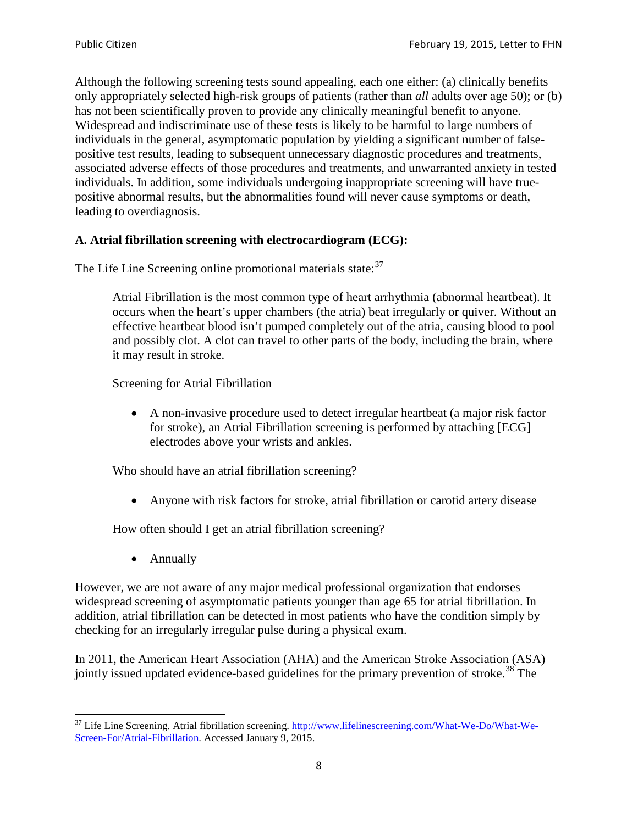Although the following screening tests sound appealing, each one either: (a) clinically benefits only appropriately selected high-risk groups of patients (rather than *all* adults over age 50); or (b) has not been scientifically proven to provide any clinically meaningful benefit to anyone. Widespread and indiscriminate use of these tests is likely to be harmful to large numbers of individuals in the general, asymptomatic population by yielding a significant number of falsepositive test results, leading to subsequent unnecessary diagnostic procedures and treatments, associated adverse effects of those procedures and treatments, and unwarranted anxiety in tested individuals. In addition, some individuals undergoing inappropriate screening will have truepositive abnormal results, but the abnormalities found will never cause symptoms or death, leading to overdiagnosis.

# **A. Atrial fibrillation screening with electrocardiogram (ECG):**

The Life Line Screening online promotional materials state:<sup>[37](#page-7-0)</sup>

Atrial Fibrillation is the most common type of heart arrhythmia (abnormal heartbeat). It occurs when the heart's upper chambers (the atria) beat irregularly or quiver. Without an effective heartbeat blood isn't pumped completely out of the atria, causing blood to pool and possibly clot. A clot can travel to other parts of the body, including the brain, where it may result in stroke.

Screening for Atrial Fibrillation

• A non-invasive procedure used to detect irregular heartbeat (a major risk factor for stroke), an Atrial Fibrillation screening is performed by attaching [ECG] electrodes above your wrists and ankles.

Who should have an atrial fibrillation screening?

• Anyone with risk factors for stroke, atrial fibrillation or carotid artery disease

How often should I get an atrial fibrillation screening?

• Annually

<span id="page-7-1"></span>However, we are not aware of any major medical professional organization that endorses widespread screening of asymptomatic patients younger than age 65 for atrial fibrillation. In addition, atrial fibrillation can be detected in most patients who have the condition simply by checking for an irregularly irregular pulse during a physical exam.

In 2011, the American Heart Association (AHA) and the American Stroke Association (ASA) jointly issued updated evidence-based guidelines for the primary prevention of stroke.<sup>[38](#page-7-1)</sup> The

<span id="page-7-0"></span><sup>&</sup>lt;sup>37</sup> Life Line Screening. Atrial fibrillation screening. [http://www.lifelinescreening.com/What-We-Do/What-We-](http://www.lifelinescreening.com/What-We-Do/What-We-Screen-For/Atrial-Fibrillation)[Screen-For/Atrial-Fibrillation.](http://www.lifelinescreening.com/What-We-Do/What-We-Screen-For/Atrial-Fibrillation) Accessed January 9, 2015.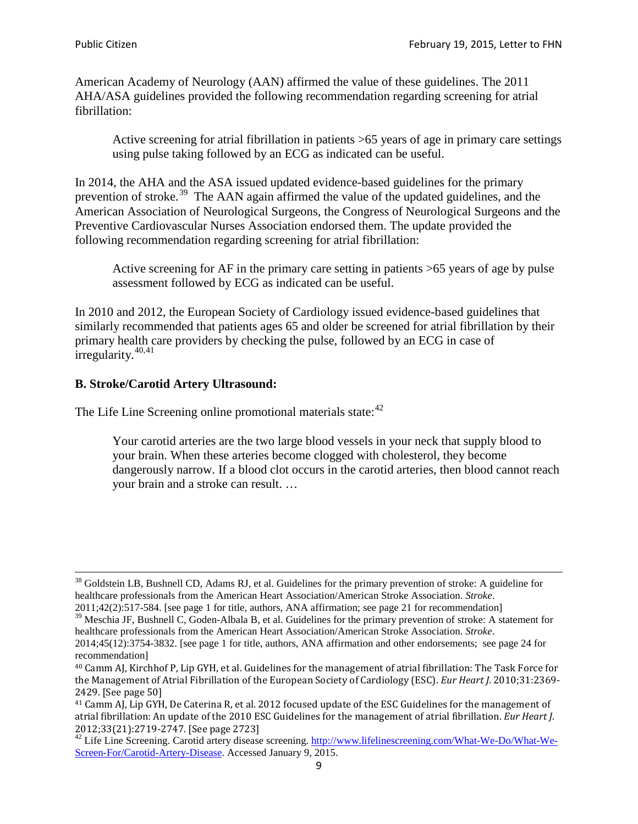American Academy of Neurology (AAN) affirmed the value of these guidelines. The 2011 AHA/ASA guidelines provided the following recommendation regarding screening for atrial fibrillation:

Active screening for atrial fibrillation in patients >65 years of age in primary care settings using pulse taking followed by an ECG as indicated can be useful.

In 2014, the AHA and the ASA issued updated evidence-based guidelines for the primary prevention of stroke.<sup>[39](#page-8-0)</sup> The AAN again affirmed the value of the updated guidelines, and the American Association of Neurological Surgeons, the Congress of Neurological Surgeons and the Preventive Cardiovascular Nurses Association endorsed them. The update provided the following recommendation regarding screening for atrial fibrillation:

Active screening for AF in the primary care setting in patients >65 years of age by pulse assessment followed by ECG as indicated can be useful.

In 2010 and 2012, the European Society of Cardiology issued evidence-based guidelines that similarly recommended that patients ages 65 and older be screened for atrial fibrillation by their primary health care providers by checking the pulse, followed by an ECG in case of irregularity. $40,41$  $40,41$ 

# **B. Stroke/Carotid Artery Ultrasound:**

The Life Line Screening online promotional materials state:<sup>[42](#page-8-3)</sup>

Your carotid arteries are the two large blood vessels in your neck that supply blood to your brain. When these arteries become clogged with cholesterol, they become dangerously narrow. If a blood clot occurs in the carotid arteries, then blood cannot reach your brain and a stroke can result. …

<sup>&</sup>lt;sup>38</sup> Goldstein LB, Bushnell CD, Adams RJ, et al. Guidelines for the primary prevention of stroke: A guideline for healthcare professionals from the American Heart Association/American Stroke Association. *Stroke*.

<sup>2011;42(2):517-584.</sup> [see page 1 for title, authors, ANA affirmation; see page 21 for recommendation]

<span id="page-8-0"></span> $\frac{2011,42(2)(317,601)}{39}$  Meschia JF, Bushnell C, Goden-Albala B, et al. Guidelines for the primary prevention of stroke: A statement for healthcare professionals from the American Heart Association/American Stroke Association. *Stroke*.

<sup>2014;45(12):3754-3832.</sup> [see page 1 for title, authors, ANA affirmation and other endorsements; see page 24 for recommendation]

<span id="page-8-1"></span><sup>40</sup> Camm AJ, Kirchhof P, Lip GYH, et al. Guidelines for the management of atrial fibrillation: The Task Force for the Management of Atrial Fibrillation of the European Society of Cardiology (ESC). *Eur Heart J*. 2010;31:2369- 2429. [See page 50]

<span id="page-8-2"></span><sup>41</sup> Camm AJ, Lip GYH, De Caterina R, et al. 2012 focused update of the ESC Guidelines for the management of atrial fibrillation: An update of the 2010 ESC Guidelines for the management of atrial fibrillation. *Eur Heart J*.

<span id="page-8-3"></span><sup>2012;33(21):2719-2747. [</sup>See page 2723]<br><sup>42</sup> Life Line Screening. Carotid artery disease screening. [http://www.lifelinescreening.com/What-We-Do/What-We-](http://www.lifelinescreening.com/What-We-Do/What-We-Screen-For/Carotid-Artery-Disease)[Screen-For/Carotid-Artery-Disease.](http://www.lifelinescreening.com/What-We-Do/What-We-Screen-For/Carotid-Artery-Disease) Accessed January 9, 2015.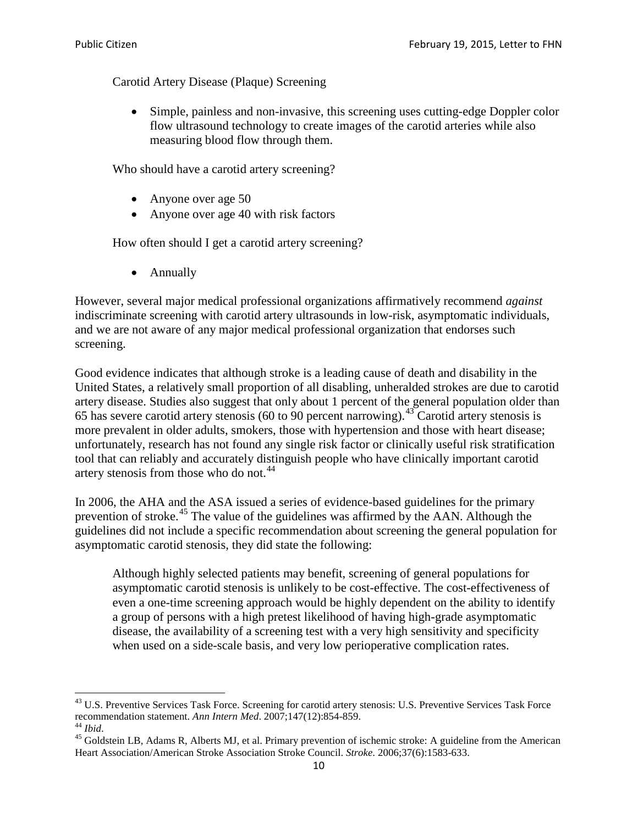Carotid Artery Disease (Plaque) Screening

• Simple, painless and non-invasive, this screening uses cutting-edge Doppler color flow ultrasound technology to create images of the carotid arteries while also measuring blood flow through them.

Who should have a carotid artery screening?

- Anyone over age 50
- Anyone over age 40 with risk factors

How often should I get a carotid artery screening?

• Annually

However, several major medical professional organizations affirmatively recommend *against* indiscriminate screening with carotid artery ultrasounds in low-risk, asymptomatic individuals, and we are not aware of any major medical professional organization that endorses such screening.

Good evidence indicates that although stroke is a leading cause of death and disability in the United States, a relatively small proportion of all disabling, unheralded strokes are due to carotid artery disease. Studies also suggest that only about 1 percent of the general population older than 65 has severe carotid artery stenosis (60 to 90 percent narrowing).<sup>[43](#page-9-0)</sup> Carotid artery stenosis is more prevalent in older adults, smokers, those with hypertension and those with heart disease; unfortunately, research has not found any single risk factor or clinically useful risk stratification tool that can reliably and accurately distinguish people who have clinically important carotid artery stenosis from those who do not.<sup>[44](#page-9-1)</sup>

In 2006, the AHA and the ASA issued a series of evidence-based guidelines for the primary prevention of stroke.<sup>[45](#page-9-2)</sup> The value of the guidelines was affirmed by the AAN. Although the guidelines did not include a specific recommendation about screening the general population for asymptomatic carotid stenosis, they did state the following:

Although highly selected patients may benefit, screening of general populations for asymptomatic carotid stenosis is unlikely to be cost-effective. The cost-effectiveness of even a one-time screening approach would be highly dependent on the ability to identify a group of persons with a high pretest likelihood of having high-grade asymptomatic disease, the availability of a screening test with a very high sensitivity and specificity when used on a side-scale basis, and very low perioperative complication rates.

<span id="page-9-0"></span> $^{43}$  U.S. Preventive Services Task Force. Screening for carotid artery stenosis: U.S. Preventive Services Task Force recommendation statement. Ann Intern Med. 2007;147(12):854-859.

<span id="page-9-2"></span><span id="page-9-1"></span><sup>&</sup>lt;sup>44</sup> *Ibid*. <sup>45</sup> Goldstein LB, Adams R, Alberts MJ, et al. Primary prevention of ischemic stroke: A guideline from the American <sup>45</sup> Goldstein LB, Adams R, Alberts MJ, et al. Primary prevention of ischemic stroke: A guide Heart Association/American Stroke Association Stroke Council. *Stroke*. 2006;37(6):1583-633.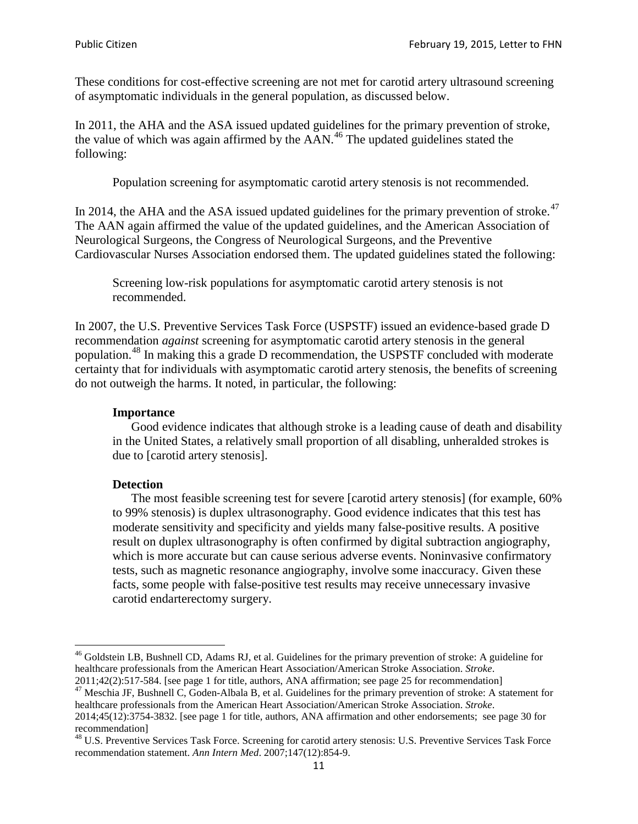These conditions for cost-effective screening are not met for carotid artery ultrasound screening of asymptomatic individuals in the general population, as discussed below.

In 2011, the AHA and the ASA issued updated guidelines for the primary prevention of stroke, the value of which was again affirmed by the  $AAN<sup>46</sup>$  $AAN<sup>46</sup>$  $AAN<sup>46</sup>$ . The updated guidelines stated the following:

Population screening for asymptomatic carotid artery stenosis is not recommended.

In 2014, the AHA and the ASA issued updated guidelines for the primary prevention of stroke.<sup>47</sup> The AAN again affirmed the value of the updated guidelines, and the American Association of Neurological Surgeons, the Congress of Neurological Surgeons, and the Preventive Cardiovascular Nurses Association endorsed them. The updated guidelines stated the following:

Screening low-risk populations for asymptomatic carotid artery stenosis is not recommended.

In 2007, the U.S. Preventive Services Task Force (USPSTF) issued an evidence-based grade D recommendation *against* screening for asymptomatic carotid artery stenosis in the general population.[48](#page-10-2) In making this a grade D recommendation, the USPSTF concluded with moderate certainty that for individuals with asymptomatic carotid artery stenosis, the benefits of screening do not outweigh the harms. It noted, in particular, the following:

#### **Importance**

Good evidence indicates that although stroke is a leading cause of death and disability in the United States, a relatively small proportion of all disabling, unheralded strokes is due to [carotid artery stenosis].

#### **Detection**

The most feasible screening test for severe [carotid artery stenosis] (for example, 60% to 99% stenosis) is duplex ultrasonography. Good evidence indicates that this test has moderate sensitivity and specificity and yields many false-positive results. A positive result on duplex ultrasonography is often confirmed by digital subtraction angiography, which is more accurate but can cause serious adverse events. Noninvasive confirmatory tests, such as magnetic resonance angiography, involve some inaccuracy. Given these facts, some people with false-positive test results may receive unnecessary invasive carotid endarterectomy surgery.

<span id="page-10-0"></span><sup>&</sup>lt;sup>46</sup> Goldstein LB, Bushnell CD, Adams RJ, et al. Guidelines for the primary prevention of stroke: A guideline for healthcare professionals from the American Heart Association/American Stroke Association. *Stroke*.<br>2011;42(2):517-584. [see page 1 for title, authors, ANA affirmation; see page 25 for recommendation]

<span id="page-10-1"></span><sup>&</sup>lt;sup>47</sup> Meschia JF, Bushnell C, Goden-Albala B, et al. Guidelines for the primary prevention of stroke: A statement for healthcare professionals from the American Heart Association/American Stroke Association. *Stroke*.

<sup>2014;45(12):3754-3832.</sup> [see page 1 for title, authors, ANA affirmation and other endorsements; see page 30 for recommendation]

<span id="page-10-2"></span><sup>&</sup>lt;sup>48</sup> U.S. Preventive Services Task Force. Screening for carotid artery stenosis: U.S. Preventive Services Task Force recommendation statement. *Ann Intern Med*. 2007;147(12):854-9.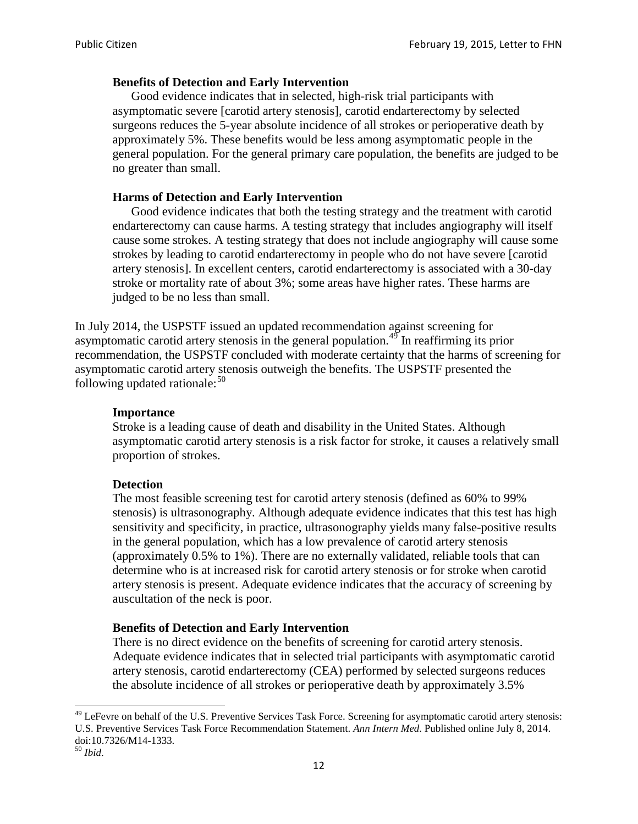## **Benefits of Detection and Early Intervention**

Good evidence indicates that in selected, high-risk trial participants with asymptomatic severe [carotid artery stenosis], carotid endarterectomy by selected surgeons reduces the 5-year absolute incidence of all strokes or perioperative death by approximately 5%. These benefits would be less among asymptomatic people in the general population. For the general primary care population, the benefits are judged to be no greater than small.

## **Harms of Detection and Early Intervention**

Good evidence indicates that both the testing strategy and the treatment with carotid endarterectomy can cause harms. A testing strategy that includes angiography will itself cause some strokes. A testing strategy that does not include angiography will cause some strokes by leading to carotid endarterectomy in people who do not have severe [carotid artery stenosis]. In excellent centers, carotid endarterectomy is associated with a 30-day stroke or mortality rate of about 3%; some areas have higher rates. These harms are judged to be no less than small.

In July 2014, the USPSTF issued an updated recommendation against screening for asymptomatic carotid artery stenosis in the general population.<sup>[49](#page-11-0)</sup> In reaffirming its prior recommendation, the USPSTF concluded with moderate certainty that the harms of screening for asymptomatic carotid artery stenosis outweigh the benefits. The USPSTF presented the following updated rationale: $50$ 

#### **Importance**

Stroke is a leading cause of death and disability in the United States. Although asymptomatic carotid artery stenosis is a risk factor for stroke, it causes a relatively small proportion of strokes.

#### **Detection**

The most feasible screening test for carotid artery stenosis (defined as 60% to 99% stenosis) is ultrasonography. Although adequate evidence indicates that this test has high sensitivity and specificity, in practice, ultrasonography yields many false-positive results in the general population, which has a low prevalence of carotid artery stenosis (approximately 0.5% to 1%). There are no externally validated, reliable tools that can determine who is at increased risk for carotid artery stenosis or for stroke when carotid artery stenosis is present. Adequate evidence indicates that the accuracy of screening by auscultation of the neck is poor.

#### **Benefits of Detection and Early Intervention**

There is no direct evidence on the benefits of screening for carotid artery stenosis. Adequate evidence indicates that in selected trial participants with asymptomatic carotid artery stenosis, carotid endarterectomy (CEA) performed by selected surgeons reduces the absolute incidence of all strokes or perioperative death by approximately 3.5%

<span id="page-11-0"></span><sup>&</sup>lt;sup>49</sup> LeFevre on behalf of the U.S. Preventive Services Task Force. Screening for asymptomatic carotid artery stenosis: U.S. Preventive Services Task Force Recommendation Statement. *Ann Intern Med*. Published online July 8, 2014. doi:10.7326/M14-1333. <sup>50</sup> *Ibid*.

<span id="page-11-1"></span>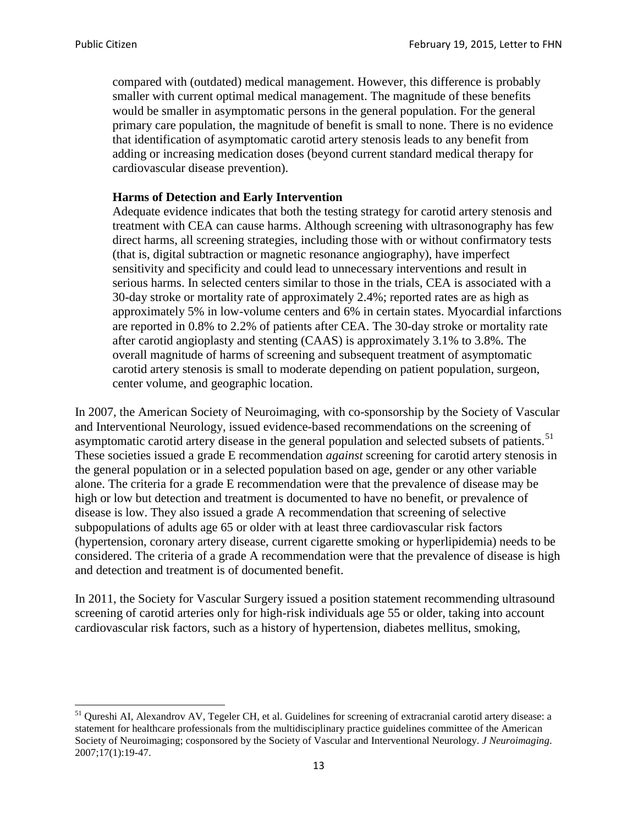compared with (outdated) medical management. However, this difference is probably smaller with current optimal medical management. The magnitude of these benefits would be smaller in asymptomatic persons in the general population. For the general primary care population, the magnitude of benefit is small to none. There is no evidence that identification of asymptomatic carotid artery stenosis leads to any benefit from adding or increasing medication doses (beyond current standard medical therapy for cardiovascular disease prevention).

#### **Harms of Detection and Early Intervention**

Adequate evidence indicates that both the testing strategy for carotid artery stenosis and treatment with CEA can cause harms. Although screening with ultrasonography has few direct harms, all screening strategies, including those with or without confirmatory tests (that is, digital subtraction or magnetic resonance angiography), have imperfect sensitivity and specificity and could lead to unnecessary interventions and result in serious harms. In selected centers similar to those in the trials, CEA is associated with a 30-day stroke or mortality rate of approximately 2.4%; reported rates are as high as approximately 5% in low-volume centers and 6% in certain states. Myocardial infarctions are reported in 0.8% to 2.2% of patients after CEA. The 30-day stroke or mortality rate after carotid angioplasty and stenting (CAAS) is approximately 3.1% to 3.8%. The overall magnitude of harms of screening and subsequent treatment of asymptomatic carotid artery stenosis is small to moderate depending on patient population, surgeon, center volume, and geographic location.

In 2007, the American Society of Neuroimaging, with co-sponsorship by the Society of Vascular and Interventional Neurology, issued evidence-based recommendations on the screening of asymptomatic carotid artery disease in the general population and selected subsets of patients.<sup>[51](#page-12-0)</sup> These societies issued a grade E recommendation *against* screening for carotid artery stenosis in the general population or in a selected population based on age, gender or any other variable alone. The criteria for a grade E recommendation were that the prevalence of disease may be high or low but detection and treatment is documented to have no benefit, or prevalence of disease is low. They also issued a grade A recommendation that screening of selective subpopulations of adults age 65 or older with at least three cardiovascular risk factors (hypertension, coronary artery disease, current cigarette smoking or hyperlipidemia) needs to be considered. The criteria of a grade A recommendation were that the prevalence of disease is high and detection and treatment is of documented benefit.

In 2011, the Society for Vascular Surgery issued a position statement recommending ultrasound screening of carotid arteries only for high-risk individuals age 55 or older, taking into account cardiovascular risk factors, such as a history of hypertension, diabetes mellitus, smoking,

<span id="page-12-0"></span><sup>&</sup>lt;sup>51</sup> Qureshi AI, Alexandrov AV, Tegeler CH, et al. Guidelines for screening of extracranial carotid artery disease: a statement for healthcare professionals from the multidisciplinary practice guidelines committee of the American Society of Neuroimaging; cosponsored by the Society of Vascular and Interventional Neurology. *J Neuroimaging*. 2007;17(1):19-47.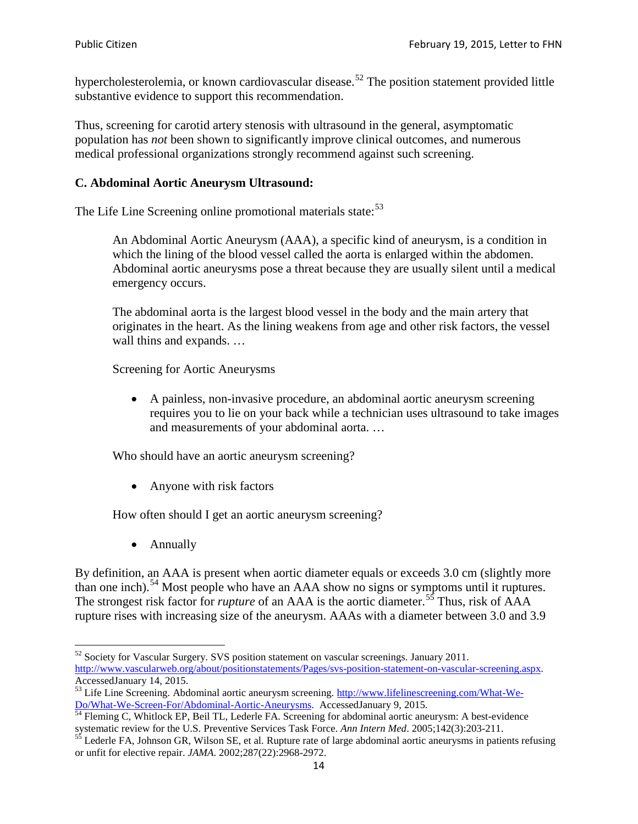hypercholesterolemia, or known cardiovascular disease.<sup>[52](#page-13-0)</sup> The position statement provided little substantive evidence to support this recommendation.

Thus, screening for carotid artery stenosis with ultrasound in the general, asymptomatic population has *not* been shown to significantly improve clinical outcomes, and numerous medical professional organizations strongly recommend against such screening.

#### **C. Abdominal Aortic Aneurysm Ultrasound:**

The Life Line Screening online promotional materials state:<sup>[53](#page-13-1)</sup>

An Abdominal Aortic Aneurysm (AAA), a specific kind of aneurysm, is a condition in which the lining of the blood vessel called the aorta is enlarged within the abdomen. Abdominal aortic aneurysms pose a threat because they are usually silent until a medical emergency occurs.

The abdominal aorta is the largest blood vessel in the body and the main artery that originates in the heart. As the lining weakens from age and other risk factors, the vessel wall thins and expands. …

Screening for Aortic Aneurysms

• A painless, non-invasive procedure, an abdominal aortic aneurysm screening requires you to lie on your back while a technician uses ultrasound to take images and measurements of your abdominal aorta. …

Who should have an aortic aneurysm screening?

• Anyone with risk factors

How often should I get an aortic aneurysm screening?

• Annually

By definition, an AAA is present when aortic diameter equals or exceeds 3.0 cm (slightly more than one inch).<sup>[54](#page-13-2)</sup> Most people who have an AAA show no signs or symptoms until it ruptures. The strongest risk factor for *rupture* of an AAA is the aortic diameter.<sup>[55](#page-13-3)</sup> Thus, risk of AAA rupture rises with increasing size of the aneurysm. AAAs with a diameter between 3.0 and 3.9

<span id="page-13-0"></span> $52$  Society for Vascular Surgery. SVS position statement on vascular screenings. January 2011. http://www.vascularweb.org/about/positionstatements/Pages/svs-position-statement-on-vascular-screening.aspx.<br>Accessed January 14, 2015.

<span id="page-13-1"></span>Accessed Line Screening. Abdominal aortic aneurysm screening. http://www.lifelinescreening.com/What-We-<br>Do/What-We-Screen-For/Abdominal-Aortic-Aneurysms. Accessed January 9, 2015.

<span id="page-13-2"></span> $\frac{1}{54}$  Fleming C, Whitlock EP, Beil TL, Lederle FA. Screening for abdominal aortic aneurysm: A best-evidence systematic review for the U.S. Preventive Services Task Force. *Ann Intern Med.* 2005;142(3):203-211.<br><sup>55</sup> Lederle FA, Johnson GR, Wilson SE, et al. Rupture rate of large abdominal aortic aneurysms in patients refusing

<span id="page-13-3"></span>or unfit for elective repair. *JAMA*. 2002;287(22):2968-2972.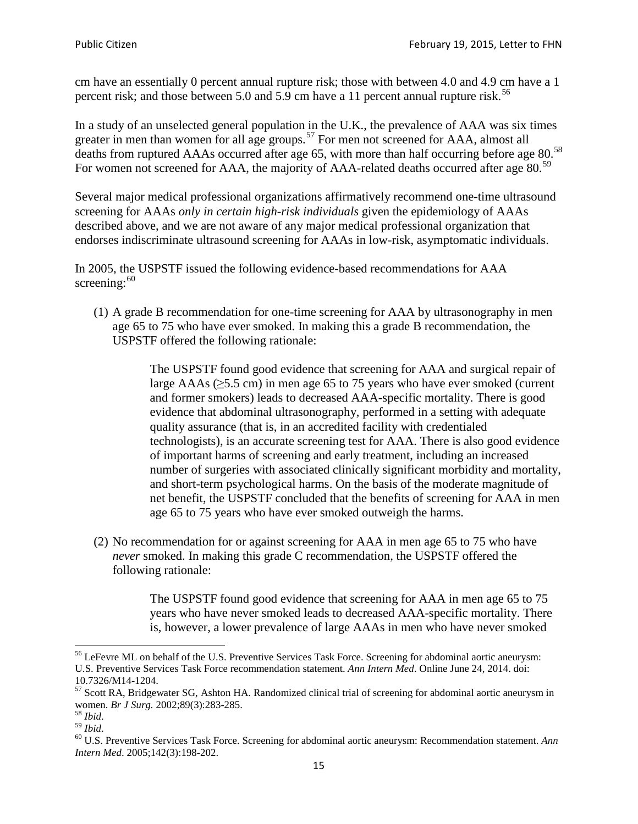cm have an essentially 0 percent annual rupture risk; those with between 4.0 and 4.9 cm have a 1 percent risk; and those between 5.0 and 5.9 cm have a 11 percent annual rupture risk.<sup>[56](#page-14-0)</sup>

In a study of an unselected general population in the U.K., the prevalence of AAA was six times greater in men than women for all age groups.<sup>[57](#page-14-1)</sup> For men not screened for  $AAA$ , almost all deaths from ruptured AAAs occurred after age 65, with more than half occurring before age 80.<sup>[58](#page-14-2)</sup> For women not screened for AAA, the majority of AAA-related deaths occurred after age 80.<sup>[59](#page-14-3)</sup>

Several major medical professional organizations affirmatively recommend one-time ultrasound screening for AAAs *only in certain high-risk individuals* given the epidemiology of AAAs described above, and we are not aware of any major medical professional organization that endorses indiscriminate ultrasound screening for AAAs in low-risk, asymptomatic individuals.

In 2005, the USPSTF issued the following evidence-based recommendations for AAA screening: $60$ 

(1) A grade B recommendation for one-time screening for AAA by ultrasonography in men age 65 to 75 who have ever smoked. In making this a grade [B recommendation,](http://www.uspreventiveservicestaskforce.org/uspstf/gradespre.htm#brec) the USPSTF offered the following rationale:

> The USPSTF found good evidence that screening for AAA and surgical repair of large AAAs ( $\geq$ 5.5 cm) in men age 65 to 75 years who have ever smoked (current and former smokers) leads to decreased AAA-specific mortality. There is good evidence that abdominal ultrasonography, performed in a setting with adequate quality assurance (that is, in an accredited facility with credentialed technologists), is an accurate screening test for AAA. There is also good evidence of important harms of screening and early treatment, including an increased number of surgeries with associated clinically significant morbidity and mortality, and short-term psychological harms. On the basis of the moderate magnitude of net benefit, the USPSTF concluded that the benefits of screening for AAA in men age 65 to 75 years who have ever smoked outweigh the harms.

(2) No recommendation for or against screening for AAA in men age 65 to 75 who have *never* smoked. In making this grade C recommendation, the USPSTF offered the following rationale:

> The USPSTF found good evidence that screening for AAA in men age 65 to 75 years who have never smoked leads to decreased AAA-specific mortality. There is, however, a lower prevalence of large AAAs in men who have never smoked

<span id="page-14-0"></span><sup>&</sup>lt;sup>56</sup> LeFevre ML on behalf of the U.S. Preventive Services Task Force. Screening for abdominal aortic aneurysm: U.S. Preventive Services Task Force recommendation statement. *Ann Intern Med*. Online June 24, 2014. doi:

<span id="page-14-1"></span><sup>10.7326/</sup>M14-1204.<br> $57$  Scott RA, Bridgewater SG, Ashton HA. Randomized clinical trial of screening for abdominal aortic aneurysm in women. *Br J Surg.* 2002;89(3):283-285.

<span id="page-14-4"></span><span id="page-14-3"></span>

<span id="page-14-2"></span><sup>&</sup>lt;sup>58</sup> *Ibid.*<br><sup>59</sup> *Ibid.* 2002;<br><sup>60</sup> U.S. Preventive Services Task Force. Screening for abdominal aortic aneurysm: Recommendation statement. *Ann Intern Med*. 2005;142(3):198-202.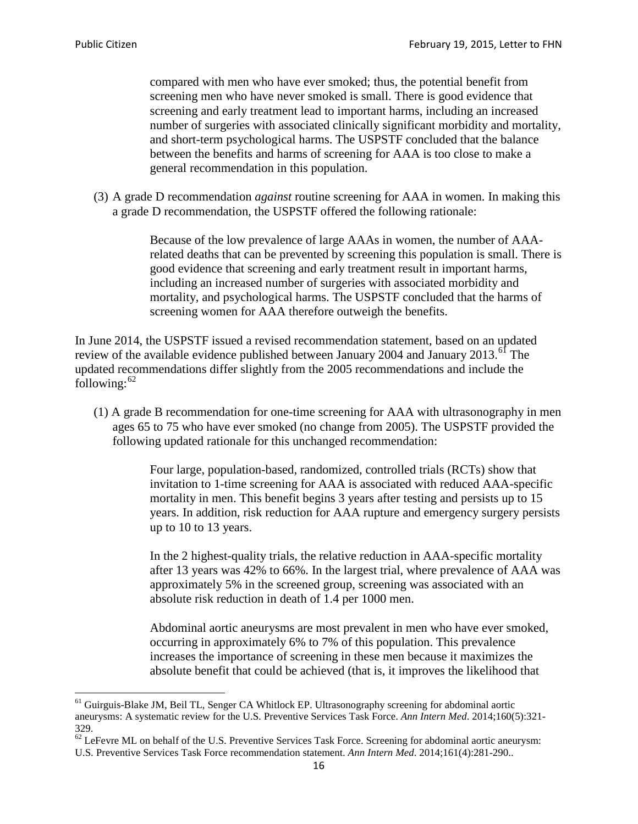compared with men who have ever smoked; thus, the potential benefit from screening men who have never smoked is small. There is good evidence that screening and early treatment lead to important harms, including an increased number of surgeries with associated clinically significant morbidity and mortality, and short-term psychological harms. The USPSTF concluded that the balance between the benefits and harms of screening for AAA is too close to make a general recommendation in this population.

(3) A grade D recommendation *against* routine screening for AAA in women. In making this a grade D recommendation, the USPSTF offered the following rationale:

> Because of the low prevalence of large AAAs in women, the number of AAArelated deaths that can be prevented by screening this population is small. There is good evidence that screening and early treatment result in important harms, including an increased number of surgeries with associated morbidity and mortality, and psychological harms. The USPSTF concluded that the harms of screening women for AAA therefore outweigh the benefits.

In June 2014, the USPSTF issued a revised recommendation statement, based on an updated review of the available evidence published between January 2004 and January 2013.<sup>[61](#page-15-0)</sup> The updated recommendations differ slightly from the 2005 recommendations and include the following: $62$ 

(1) A grade B recommendation for one-time screening for AAA with ultrasonography in men ages 65 to 75 who have ever smoked (no change from 2005). The USPSTF provided the following updated rationale for this unchanged recommendation:

> Four large, population-based, randomized, controlled trials (RCTs) show that invitation to 1-time screening for AAA is associated with reduced AAA-specific mortality in men. This benefit begins 3 years after testing and persists up to 15 years. In addition, risk reduction for AAA rupture and emergency surgery persists up to 10 to 13 years.

> In the 2 highest-quality trials, the relative reduction in AAA-specific mortality after 13 years was 42% to 66%. In the largest trial, where prevalence of AAA was approximately 5% in the screened group, screening was associated with an absolute risk reduction in death of 1.4 per 1000 men.

Abdominal aortic aneurysms are most prevalent in men who have ever smoked, occurring in approximately 6% to 7% of this population. This prevalence increases the importance of screening in these men because it maximizes the absolute benefit that could be achieved (that is, it improves the likelihood that

<span id="page-15-0"></span><sup>61</sup> Guirguis-Blake JM, Beil TL, Senger CA Whitlock EP. Ultrasonography screening for abdominal aortic aneurysms: A systematic review for the U.S. Preventive Services Task Force. *Ann Intern Med*. 2014;160(5):321- 329.

<span id="page-15-1"></span> $62$  LeFevre ML on behalf of the U.S. Preventive Services Task Force. Screening for abdominal aortic aneurysm: U.S. Preventive Services Task Force recommendation statement. *Ann Intern Med*. 2014;161(4):281-290..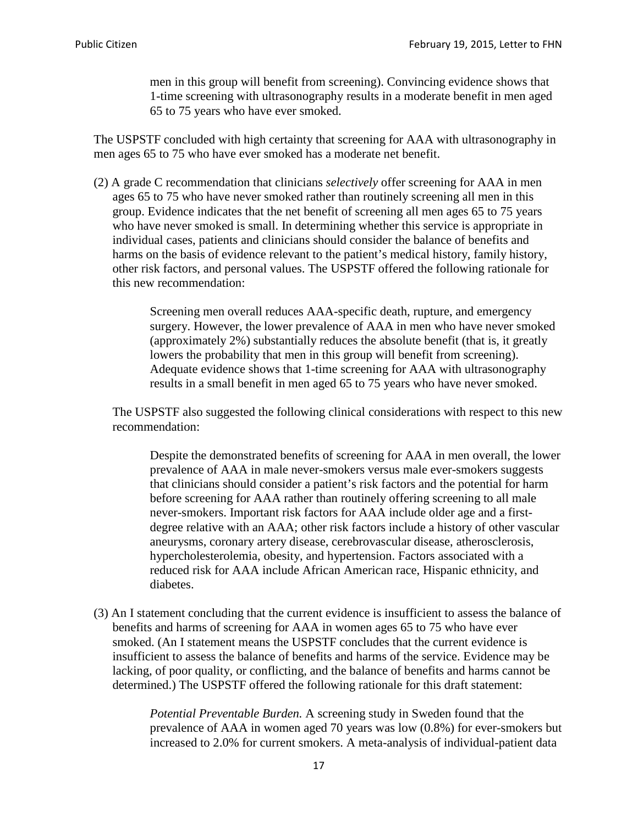men in this group will benefit from screening). Convincing evidence shows that 1-time screening with ultrasonography results in a moderate benefit in men aged 65 to 75 years who have ever smoked.

The USPSTF concluded with high certainty that screening for AAA with ultrasonography in men ages 65 to 75 who have ever smoked has a moderate net benefit.

(2) A grade C recommendation that clinicians *selectively* offer screening for AAA in men ages 65 to 75 who have never smoked rather than routinely screening all men in this group. Evidence indicates that the net benefit of screening all men ages 65 to 75 years who have never smoked is small. In determining whether this service is appropriate in individual cases, patients and clinicians should consider the balance of benefits and harms on the basis of evidence relevant to the patient's medical history, family history, other risk factors, and personal values. The USPSTF offered the following rationale for this new recommendation:

> Screening men overall reduces AAA-specific death, rupture, and emergency surgery. However, the lower prevalence of AAA in men who have never smoked (approximately 2%) substantially reduces the absolute benefit (that is, it greatly lowers the probability that men in this group will benefit from screening). Adequate evidence shows that 1-time screening for AAA with ultrasonography results in a small benefit in men aged 65 to 75 years who have never smoked.

The USPSTF also suggested the following clinical considerations with respect to this new recommendation:

Despite the demonstrated benefits of screening for AAA in men overall, the lower prevalence of AAA in male never-smokers versus male ever-smokers suggests that clinicians should consider a patient's risk factors and the potential for harm before screening for AAA rather than routinely offering screening to all male never-smokers. Important risk factors for AAA include older age and a firstdegree relative with an AAA; other risk factors include a history of other vascular aneurysms, coronary artery disease, cerebrovascular disease, atherosclerosis, hypercholesterolemia, obesity, and hypertension. Factors associated with a reduced risk for AAA include African American race, Hispanic ethnicity, and diabetes.

(3) An I statement concluding that the current evidence is insufficient to assess the balance of benefits and harms of screening for AAA in women ages 65 to 75 who have ever smoked. (An I statement means the USPSTF concludes that the current evidence is insufficient to assess the balance of benefits and harms of the service. Evidence may be lacking, of poor quality, or conflicting, and the balance of benefits and harms cannot be determined.) The USPSTF offered the following rationale for this draft statement:

> *Potential Preventable Burden.* A screening study in Sweden found that the prevalence of AAA in women aged 70 years was low (0.8%) for ever-smokers but increased to 2.0% for current smokers. A meta-analysis of individual-patient data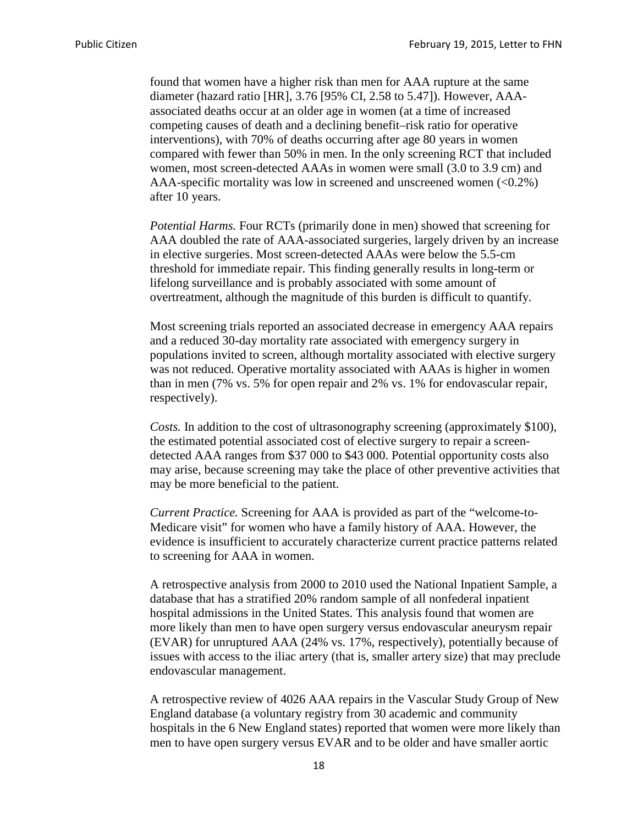found that women have a higher risk than men for AAA rupture at the same diameter (hazard ratio [HR], 3.76 [95% CI, 2.58 to 5.47]). However, AAAassociated deaths occur at an older age in women (at a time of increased competing causes of death and a declining benefit–risk ratio for operative interventions), with 70% of deaths occurring after age 80 years in women compared with fewer than 50% in men. In the only screening RCT that included women, most screen-detected AAAs in women were small (3.0 to 3.9 cm) and AAA-specific mortality was low in screened and unscreened women  $(<0.2\%)$ after 10 years.

*Potential Harms.* Four RCTs (primarily done in men) showed that screening for AAA doubled the rate of AAA-associated surgeries, largely driven by an increase in elective surgeries. Most screen-detected AAAs were below the 5.5-cm threshold for immediate repair. This finding generally results in long-term or lifelong surveillance and is probably associated with some amount of overtreatment, although the magnitude of this burden is difficult to quantify.

Most screening trials reported an associated decrease in emergency AAA repairs and a reduced 30-day mortality rate associated with emergency surgery in populations invited to screen, although mortality associated with elective surgery was not reduced. Operative mortality associated with AAAs is higher in women than in men (7% vs. 5% for open repair and 2% vs. 1% for endovascular repair, respectively).

*Costs.* In addition to the cost of ultrasonography screening (approximately \$100), the estimated potential associated cost of elective surgery to repair a screendetected AAA ranges from \$37 000 to \$43 000. Potential opportunity costs also may arise, because screening may take the place of other preventive activities that may be more beneficial to the patient.

*Current Practice.* Screening for AAA is provided as part of the "welcome-to-Medicare visit" for women who have a family history of AAA. However, the evidence is insufficient to accurately characterize current practice patterns related to screening for AAA in women.

A retrospective analysis from 2000 to 2010 used the National Inpatient Sample, a database that has a stratified 20% random sample of all nonfederal inpatient hospital admissions in the United States. This analysis found that women are more likely than men to have open surgery versus endovascular aneurysm repair (EVAR) for unruptured AAA (24% vs. 17%, respectively), potentially because of issues with access to the iliac artery (that is, smaller artery size) that may preclude endovascular management.

A retrospective review of 4026 AAA repairs in the Vascular Study Group of New England database (a voluntary registry from 30 academic and community hospitals in the 6 New England states) reported that women were more likely than men to have open surgery versus EVAR and to be older and have smaller aortic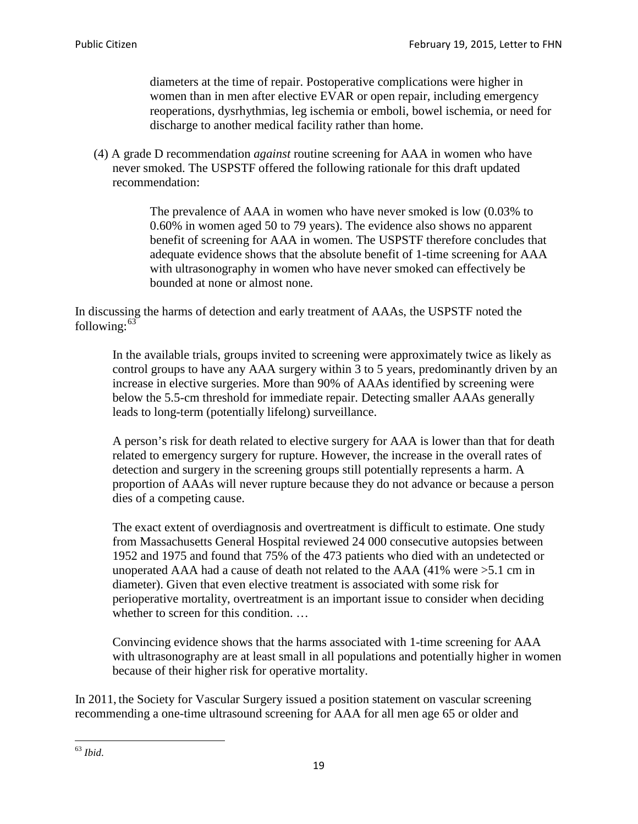diameters at the time of repair. Postoperative complications were higher in women than in men after elective EVAR or open repair, including emergency reoperations, dysrhythmias, leg ischemia or emboli, bowel ischemia, or need for discharge to another medical facility rather than home.

(4) A grade D recommendation *against* routine screening for AAA in women who have never smoked. The USPSTF offered the following rationale for this draft updated recommendation:

> The prevalence of AAA in women who have never smoked is low (0.03% to 0.60% in women aged 50 to 79 years). The evidence also shows no apparent benefit of screening for AAA in women. The USPSTF therefore concludes that adequate evidence shows that the absolute benefit of 1-time screening for AAA with ultrasonography in women who have never smoked can effectively be bounded at none or almost none.

In discussing the harms of detection and early treatment of AAAs, the USPSTF noted the following: $63$ 

In the available trials, groups invited to screening were approximately twice as likely as control groups to have any AAA surgery within 3 to 5 years, predominantly driven by an increase in elective surgeries. More than 90% of AAAs identified by screening were below the 5.5-cm threshold for immediate repair. Detecting smaller AAAs generally leads to long-term (potentially lifelong) surveillance.

A person's risk for death related to elective surgery for AAA is lower than that for death related to emergency surgery for rupture. However, the increase in the overall rates of detection and surgery in the screening groups still potentially represents a harm. A proportion of AAAs will never rupture because they do not advance or because a person dies of a competing cause.

The exact extent of overdiagnosis and overtreatment is difficult to estimate. One study from Massachusetts General Hospital reviewed 24 000 consecutive autopsies between 1952 and 1975 and found that 75% of the 473 patients who died with an undetected or unoperated AAA had a cause of death not related to the AAA (41% were >5.1 cm in diameter). Given that even elective treatment is associated with some risk for perioperative mortality, overtreatment is an important issue to consider when deciding whether to screen for this condition...

Convincing evidence shows that the harms associated with 1-time screening for AAA with ultrasonography are at least small in all populations and potentially higher in women because of their higher risk for operative mortality.

In 2011, the Society for Vascular Surgery issued a position statement on vascular screening recommending a one-time ultrasound screening for AAA for all men age 65 or older and

<span id="page-18-0"></span><sup>63</sup> *Ibid*.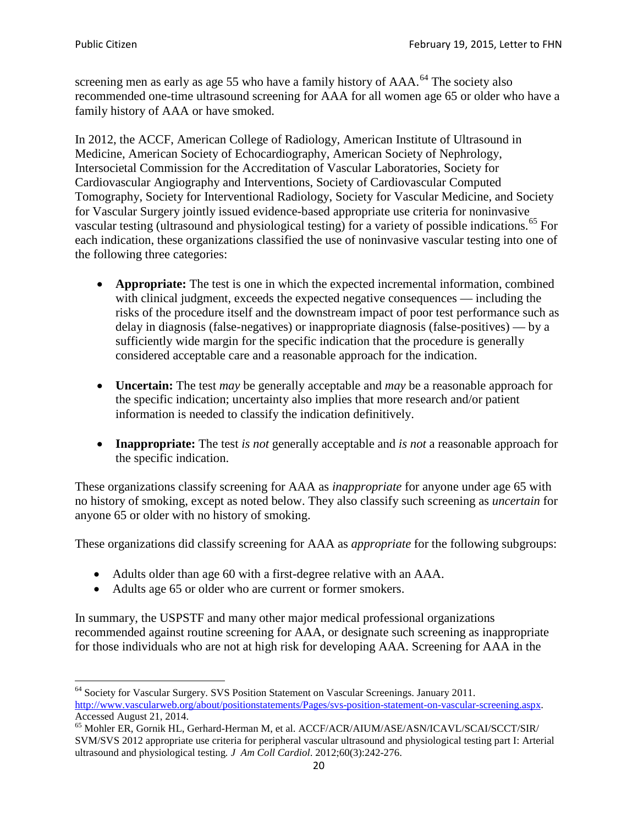screening men as early as age 55 who have a family history of AAA.<sup>[64](#page-19-0)</sup> The society also recommended one-time ultrasound screening for AAA for all women age 65 or older who have a family history of AAA or have smoked.

In 2012, the ACCF, American College of Radiology, American Institute of Ultrasound in Medicine, American Society of Echocardiography, American Society of Nephrology, Intersocietal Commission for the Accreditation of Vascular Laboratories, Society for Cardiovascular Angiography and Interventions, Society of Cardiovascular Computed Tomography, Society for Interventional Radiology, Society for Vascular Medicine, and Society for Vascular Surgery jointly issued evidence-based appropriate use criteria for noninvasive vascular testing (ultrasound and physiological testing) for a variety of possible indications.<sup>[65](#page-19-1)</sup> For each indication, these organizations classified the use of noninvasive vascular testing into one of the following three categories:

- **Appropriate:** The test is one in which the expected incremental information, combined with clinical judgment, exceeds the expected negative consequences — including the risks of the procedure itself and the downstream impact of poor test performance such as delay in diagnosis (false-negatives) or inappropriate diagnosis (false-positives) — by a sufficiently wide margin for the specific indication that the procedure is generally considered acceptable care and a reasonable approach for the indication.
- **Uncertain:** The test *may* be generally acceptable and *may* be a reasonable approach for the specific indication; uncertainty also implies that more research and/or patient information is needed to classify the indication definitively.
- **Inappropriate:** The test *is not* generally acceptable and *is not* a reasonable approach for the specific indication.

These organizations classify screening for AAA as *inappropriate* for anyone under age 65 with no history of smoking, except as noted below. They also classify such screening as *uncertain* for anyone 65 or older with no history of smoking.

These organizations did classify screening for AAA as *appropriate* for the following subgroups:

- Adults older than age 60 with a first-degree relative with an AAA.
- Adults age 65 or older who are current or former smokers.

In summary, the USPSTF and many other major medical professional organizations recommended against routine screening for AAA, or designate such screening as inappropriate for those individuals who are not at high risk for developing AAA. Screening for AAA in the

<span id="page-19-0"></span><sup>64</sup> Society for Vascular Surgery. SVS Position Statement on Vascular Screenings. January 2011. [http://www.vascularweb.org/about/positionstatements/Pages/svs-position-statement-on-vascular-screening.aspx.](http://www.vascularweb.org/about/positionstatements/Pages/svs-position-statement-on-vascular-screening.aspx) 

<span id="page-19-1"></span>Accessed August 21, 2014.<br><sup>65</sup> Mohler ER, Gornik HL, Gerhard-Herman M, et al. ACCF/ACR/AIUM/ASE/ASN/ICAVL/SCAI/SCCT/SIR/ SVM/SVS 2012 appropriate use criteria for peripheral vascular ultrasound and physiological testing part I: Arterial ultrasound and physiological testing*. J Am Coll Cardiol*. 2012;60(3):242-276.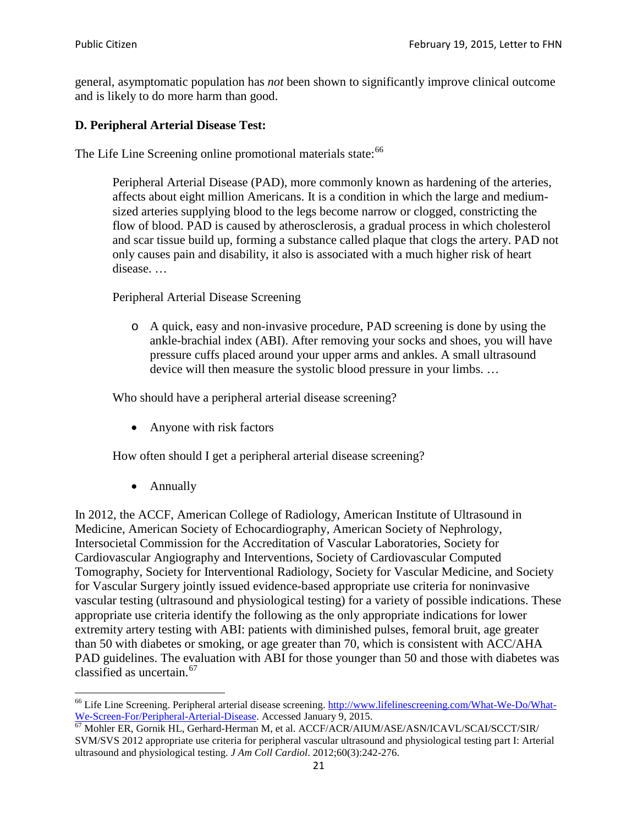general, asymptomatic population has *not* been shown to significantly improve clinical outcome and is likely to do more harm than good.

## **D. Peripheral Arterial Disease Test:**

The Life Line Screening online promotional materials state:<sup>[66](#page-20-0)</sup>

Peripheral Arterial Disease (PAD), more commonly known as hardening of the arteries, affects about eight million Americans. It is a condition in which the large and mediumsized arteries supplying blood to the legs become narrow or clogged, constricting the flow of blood. PAD is caused by atherosclerosis, a gradual process in which cholesterol and scar tissue build up, forming a substance called plaque that clogs the artery. PAD not only causes pain and disability, it also is associated with a much higher risk of heart disease. …

Peripheral Arterial Disease Screening

o A quick, easy and non-invasive procedure, PAD screening is done by using the ankle-brachial index (ABI). After removing your socks and shoes, you will have pressure cuffs placed around your upper arms and ankles. A small ultrasound device will then measure the systolic blood pressure in your limbs. …

Who should have a peripheral arterial disease screening?

• Anyone with risk factors

How often should I get a peripheral arterial disease screening?

• Annually

In 2012, the ACCF, American College of Radiology, American Institute of Ultrasound in Medicine, American Society of Echocardiography, American Society of Nephrology, Intersocietal Commission for the Accreditation of Vascular Laboratories, Society for Cardiovascular Angiography and Interventions, Society of Cardiovascular Computed Tomography, Society for Interventional Radiology, Society for Vascular Medicine, and Society for Vascular Surgery jointly issued evidence-based appropriate use criteria for noninvasive vascular testing (ultrasound and physiological testing) for a variety of possible indications. These appropriate use criteria identify the following as the only appropriate indications for lower extremity artery testing with ABI: patients with diminished pulses, femoral bruit, age greater than 50 with diabetes or smoking, or age greater than 70, which is consistent with ACC/AHA PAD guidelines. The evaluation with ABI for those younger than 50 and those with diabetes was classified as uncertain.<sup>[67](#page-20-1)</sup>

<span id="page-20-0"></span><sup>&</sup>lt;sup>66</sup> Life Line Screening. Peripheral arterial disease screening. [http://www.lifelinescreening.com/What-We-Do/What-](http://www.lifelinescreening.com/What-We-Do/What-We-Screen-For/Peripheral-Arterial-Disease)[We-Screen-For/Peripheral-Arterial-Disease.](http://www.lifelinescreening.com/What-We-Do/What-We-Screen-For/Peripheral-Arterial-Disease) Accessed January 9, 2015.<br><sup>67</sup> Mohler ER, Gornik HL, Gerhard-Herman M, et al. ACCF/ACR/AIUM/ASE/ASN/ICAVL/SCAI/SCCT/SIR/

<span id="page-20-1"></span>SVM/SVS 2012 appropriate use criteria for peripheral vascular ultrasound and physiological testing part I: Arterial ultrasound and physiological testing. *J Am Coll Cardiol*. 2012;60(3):242-276.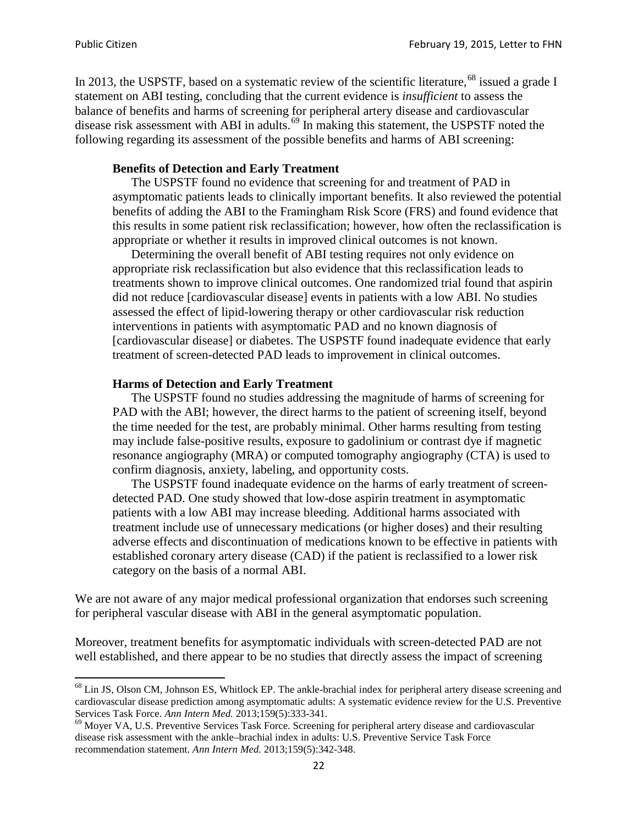In 2013, the USPSTF, based on a systematic review of the scientific literature,<sup>[68](#page-21-0)</sup> issued a grade I statement on ABI testing, concluding that the current evidence is *insufficient* to assess the balance of benefits and harms of screening for peripheral artery disease and cardiovascular disease risk assessment with ABI in adults.<sup>[69](#page-21-1)</sup> In making this statement, the USPSTF noted the following regarding its assessment of the possible benefits and harms of ABI screening:

#### **Benefits of Detection and Early Treatment**

The USPSTF found no evidence that screening for and treatment of PAD in asymptomatic patients leads to clinically important benefits. It also reviewed the potential benefits of adding the ABI to the Framingham Risk Score (FRS) and found evidence that this results in some patient risk reclassification; however, how often the reclassification is appropriate or whether it results in improved clinical outcomes is not known.

Determining the overall benefit of ABI testing requires not only evidence on appropriate risk reclassification but also evidence that this reclassification leads to treatments shown to improve clinical outcomes. One randomized trial found that aspirin did not reduce [cardiovascular disease] events in patients with a low ABI. No studies assessed the effect of lipid-lowering therapy or other cardiovascular risk reduction interventions in patients with asymptomatic PAD and no known diagnosis of [cardiovascular disease] or diabetes. The USPSTF found inadequate evidence that early treatment of screen-detected PAD leads to improvement in clinical outcomes.

#### **Harms of Detection and Early Treatment**

The USPSTF found no studies addressing the magnitude of harms of screening for PAD with the ABI; however, the direct harms to the patient of screening itself, beyond the time needed for the test, are probably minimal. Other harms resulting from testing may include false-positive results, exposure to gadolinium or contrast dye if magnetic resonance angiography (MRA) or computed tomography angiography (CTA) is used to confirm diagnosis, anxiety, labeling, and opportunity costs.

The USPSTF found inadequate evidence on the harms of early treatment of screendetected PAD. One study showed that low-dose aspirin treatment in asymptomatic patients with a low ABI may increase bleeding. Additional harms associated with treatment include use of unnecessary medications (or higher doses) and their resulting adverse effects and discontinuation of medications known to be effective in patients with established coronary artery disease (CAD) if the patient is reclassified to a lower risk category on the basis of a normal ABI.

We are not aware of any major medical professional organization that endorses such screening for peripheral vascular disease with ABI in the general asymptomatic population.

Moreover, treatment benefits for asymptomatic individuals with screen-detected PAD are not well established, and there appear to be no studies that directly assess the impact of screening

<span id="page-21-0"></span><sup>&</sup>lt;sup>68</sup> Lin JS, Olson CM, Johnson ES, Whitlock EP. The ankle-brachial index for peripheral artery disease screening and cardiovascular disease prediction among asymptomatic adults: A systematic evidence review for the U.S. Preventive Services Task Force. *Ann Intern Med.* 2013;159(5):333-341.<br><sup>69</sup> Moyer VA, U.S. Preventive Services Task Force. Screening for peripheral artery disease and cardiovascular

<span id="page-21-1"></span>disease risk assessment with the ankle–brachial index in adults: U.S. Preventive Service Task Force recommendation statement. *Ann Intern Med.* 2013;159(5):342-348.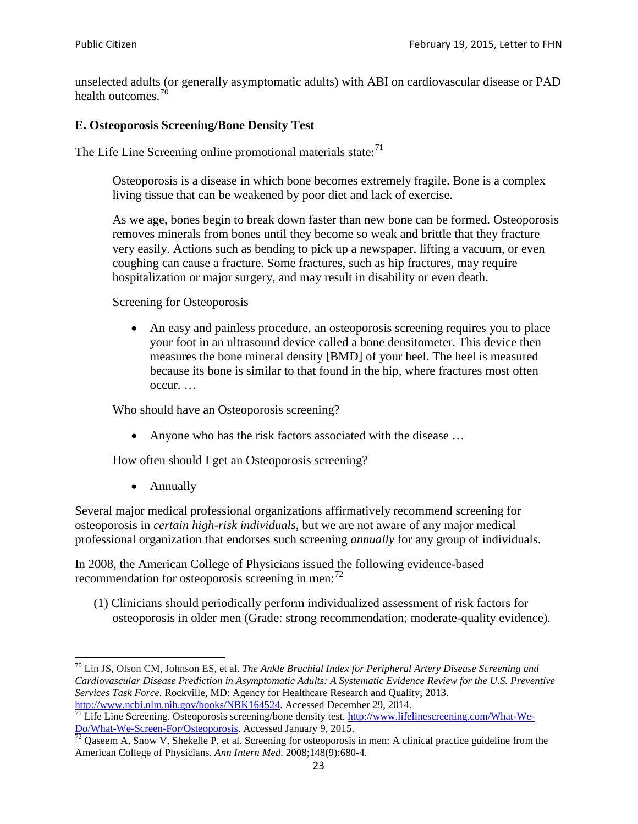unselected adults (or generally asymptomatic adults) with ABI on cardiovascular disease or PAD health outcomes.<sup>[70](#page-22-0)</sup>

#### **E. Osteoporosis Screening/Bone Density Test**

The Life Line Screening online promotional materials state: $71$ 

Osteoporosis is a disease in which bone becomes extremely fragile. Bone is a complex living tissue that can be weakened by poor diet and lack of exercise.

As we age, bones begin to break down faster than new bone can be formed. Osteoporosis removes minerals from bones until they become so weak and brittle that they fracture very easily. Actions such as bending to pick up a newspaper, lifting a vacuum, or even coughing can cause a fracture. Some fractures, such as hip fractures, may require hospitalization or major surgery, and may result in disability or even death.

Screening for Osteoporosis

• An easy and painless procedure, an osteoporosis screening requires you to place your foot in an ultrasound device called a bone densitometer. This device then measures the bone mineral density [BMD] of your heel. The heel is measured because its bone is similar to that found in the hip, where fractures most often occur. …

Who should have an Osteoporosis screening?

• Anyone who has the risk factors associated with the disease ...

How often should I get an Osteoporosis screening?

• Annually

Several major medical professional organizations affirmatively recommend screening for osteoporosis in *certain high-risk individuals*, but we are not aware of any major medical professional organization that endorses such screening *annually* for any group of individuals.

In 2008, the American College of Physicians issued the following evidence-based recommendation for osteoporosis screening in men: $^{72}$  $^{72}$  $^{72}$ 

(1) Clinicians should periodically perform individualized assessment of risk factors for osteoporosis in older men (Grade: strong recommendation; moderate-quality evidence).

<span id="page-22-0"></span><sup>70</sup> [Lin JS,](http://www.ncbi.nlm.nih.gov/pubmed?term=Lin%20JS%5BAuthor%5D&cauthor=true&cauthor_uid=24156115) [Olson CM,](http://www.ncbi.nlm.nih.gov/pubmed?term=Olson%20CM%5BAuthor%5D&cauthor=true&cauthor_uid=24156115) [Johnson ES,](http://www.ncbi.nlm.nih.gov/pubmed?term=Johnson%20ES%5BAuthor%5D&cauthor=true&cauthor_uid=24156115) et al. *The Ankle Brachial Index for Peripheral Artery Disease Screening and Cardiovascular Disease Prediction in Asymptomatic Adults: A Systematic Evidence Review for the U.S. Preventive Services Task Force*. Rockville, MD: Agency for Healthcare Research and Quality; 2013.<br>http://www.ncbi.nlm.nih.gov/books/NBK164524. Accessed December 29, 2014.

<span id="page-22-1"></span> $\frac{1}{71}$  Life Line Screening. Osteoporosis screening/bone density test. [http://www.lifelinescreening.com/What-We-](http://www.lifelinescreening.com/What-We-Do/What-We-Screen-For/Osteoporosis) $\frac{Do/What-We-Screen-For/Osteoporosis}{72}$  Qaseem A, Snow V, Shekelle P, et al. Screening for osteoporosis in men: A clinical practice guideline from the

<span id="page-22-2"></span>American College of Physicians. *Ann Intern Med*. 2008;148(9):680-4.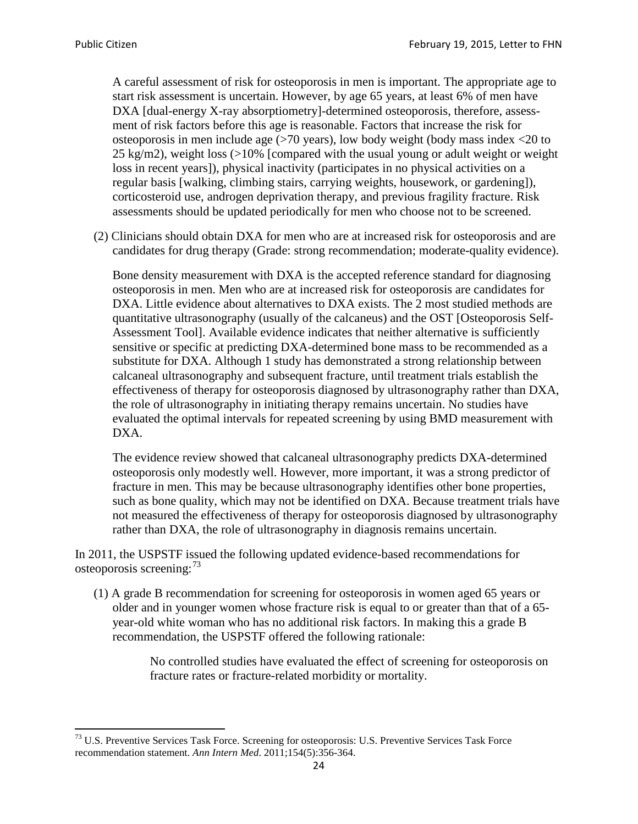A careful assessment of risk for osteoporosis in men is important. The appropriate age to start risk assessment is uncertain. However, by age 65 years, at least 6% of men have DXA [dual-energy X-ray absorptiometry]-determined osteoporosis, therefore, assessment of risk factors before this age is reasonable. Factors that increase the risk for osteoporosis in men include age (>70 years), low body weight (body mass index <20 to 25 kg/m2), weight loss (>10% [compared with the usual young or adult weight or weight loss in recent years]), physical inactivity (participates in no physical activities on a regular basis [walking, climbing stairs, carrying weights, housework, or gardening]), corticosteroid use, androgen deprivation therapy, and previous fragility fracture. Risk assessments should be updated periodically for men who choose not to be screened.

(2) Clinicians should obtain DXA for men who are at increased risk for osteoporosis and are candidates for drug therapy (Grade: strong recommendation; moderate-quality evidence).

Bone density measurement with DXA is the accepted reference standard for diagnosing osteoporosis in men. Men who are at increased risk for osteoporosis are candidates for DXA. Little evidence about alternatives to DXA exists. The 2 most studied methods are quantitative ultrasonography (usually of the calcaneus) and the OST [Osteoporosis Self-Assessment Tool]. Available evidence indicates that neither alternative is sufficiently sensitive or specific at predicting DXA-determined bone mass to be recommended as a substitute for DXA. Although 1 study has demonstrated a strong relationship between calcaneal ultrasonography and subsequent fracture, until treatment trials establish the effectiveness of therapy for osteoporosis diagnosed by ultrasonography rather than DXA, the role of ultrasonography in initiating therapy remains uncertain. No studies have evaluated the optimal intervals for repeated screening by using BMD measurement with DXA.

The evidence review showed that calcaneal ultrasonography predicts DXA-determined osteoporosis only modestly well. However, more important, it was a strong predictor of fracture in men. This may be because ultrasonography identifies other bone properties, such as bone quality, which may not be identified on DXA. Because treatment trials have not measured the effectiveness of therapy for osteoporosis diagnosed by ultrasonography rather than DXA, the role of ultrasonography in diagnosis remains uncertain.

In 2011, the USPSTF issued the following updated evidence-based recommendations for osteoporosis screening:<sup>[73](#page-23-0)</sup>

(1) A grade B recommendation for screening for osteoporosis in women aged 65 years or older and in younger women whose fracture risk is equal to or greater than that of a 65 year-old white woman who has no additional risk factors. In making this a grade B recommendation, the USPSTF offered the following rationale:

> No controlled studies have evaluated the effect of screening for osteoporosis on fracture rates or fracture-related morbidity or mortality.

<span id="page-23-0"></span><sup>&</sup>lt;sup>73</sup> U.S. Preventive Services Task Force. Screening for osteoporosis: U.S. Preventive Services Task Force recommendation statement. *Ann Intern Med*. 2011;154(5):356-364.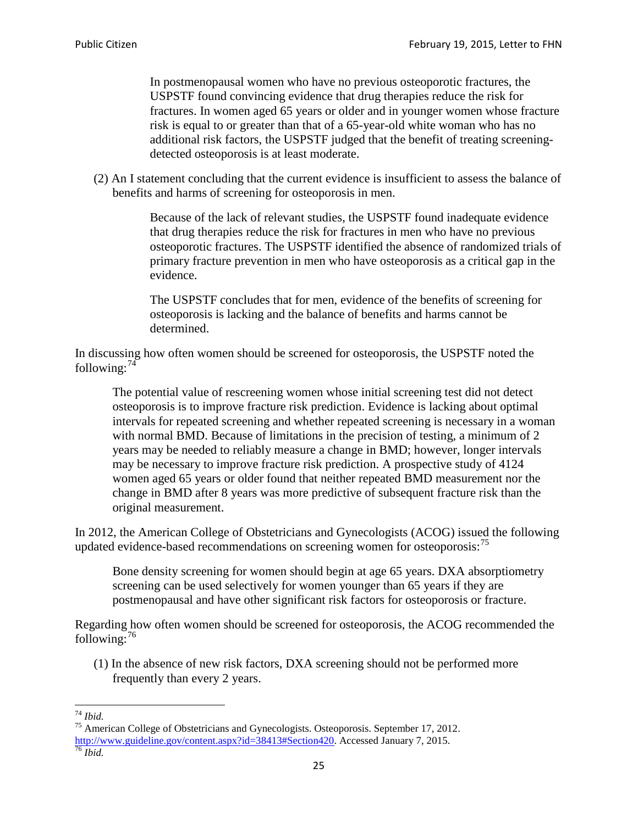In postmenopausal women who have no previous osteoporotic fractures, the USPSTF found convincing evidence that drug therapies reduce the risk for fractures. In women aged 65 years or older and in younger women whose fracture risk is equal to or greater than that of a 65-year-old white woman who has no additional risk factors, the USPSTF judged that the benefit of treating screeningdetected osteoporosis is at least moderate.

(2) An I statement concluding that the current evidence is insufficient to assess the balance of benefits and harms of screening for osteoporosis in men.

> Because of the lack of relevant studies, the USPSTF found inadequate evidence that drug therapies reduce the risk for fractures in men who have no previous osteoporotic fractures. The USPSTF identified the absence of randomized trials of primary fracture prevention in men who have osteoporosis as a critical gap in the evidence.

The USPSTF concludes that for men, evidence of the benefits of screening for osteoporosis is lacking and the balance of benefits and harms cannot be determined.

In discussing how often women should be screened for osteoporosis, the USPSTF noted the following: $74$ 

The potential value of rescreening women whose initial screening test did not detect osteoporosis is to improve fracture risk prediction. Evidence is lacking about optimal intervals for repeated screening and whether repeated screening is necessary in a woman with normal BMD. Because of limitations in the precision of testing, a minimum of 2 years may be needed to reliably measure a change in BMD; however, longer intervals may be necessary to improve fracture risk prediction. A prospective study of 4124 women aged 65 years or older found that neither repeated BMD measurement nor the change in BMD after 8 years was more predictive of subsequent fracture risk than the original measurement.

In 2012, the American College of Obstetricians and Gynecologists (ACOG) issued the following updated evidence-based recommendations on screening women for osteoporosis:<sup>[75](#page-24-1)</sup>

Bone density screening for women should begin at age 65 years. DXA absorptiometry screening can be used selectively for women younger than 65 years if they are postmenopausal and have other significant risk factors for osteoporosis or fracture.

Regarding how often women should be screened for osteoporosis, the ACOG recommended the following: $^{76}$  $^{76}$  $^{76}$ 

(1) In the absence of new risk factors, DXA screening should not be performed more frequently than every 2 years.

<span id="page-24-2"></span><span id="page-24-1"></span><span id="page-24-0"></span><sup>74</sup> *Ibid.* <sup>75</sup> American College of Obstetricians and Gynecologists. Osteoporosis. September 17, 2012. [http://www.guideline.gov/content.aspx?id=38413#Section420.](http://www.guideline.gov/content.aspx?id=38413#Section420) Accessed January 7, 2015.<br><sup>76</sup> *Ibid.*